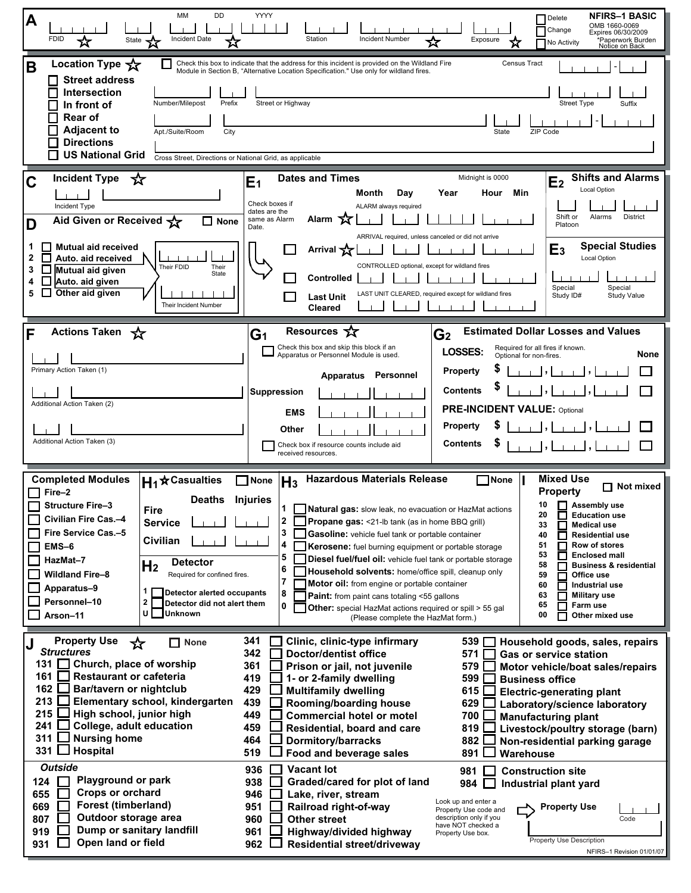| DD<br>MM<br>A<br><b>FDID</b><br>Incident Date<br>State <b>xx</b><br>☆                                                                                                                                                                                                                                                                                                                                                                                                                                                                                                                   | <b>NFIRS-1 BASIC</b><br>YYYY<br>Delete<br>OMB 1660-0069<br>Change<br>Expires 06/30/2009<br>Station<br><b>Incident Number</b><br>Exposure<br>☆<br>*Paperwork Burden<br>Notice on Back<br>No Activity                                                                                                                                                                                                                                                                                                                                                                                                                                                                                                                                                                                                                                                                                                                                                                                                                                                                                                                                                                                                                                                                                                                        |
|-----------------------------------------------------------------------------------------------------------------------------------------------------------------------------------------------------------------------------------------------------------------------------------------------------------------------------------------------------------------------------------------------------------------------------------------------------------------------------------------------------------------------------------------------------------------------------------------|----------------------------------------------------------------------------------------------------------------------------------------------------------------------------------------------------------------------------------------------------------------------------------------------------------------------------------------------------------------------------------------------------------------------------------------------------------------------------------------------------------------------------------------------------------------------------------------------------------------------------------------------------------------------------------------------------------------------------------------------------------------------------------------------------------------------------------------------------------------------------------------------------------------------------------------------------------------------------------------------------------------------------------------------------------------------------------------------------------------------------------------------------------------------------------------------------------------------------------------------------------------------------------------------------------------------------|
| Location Type $\chi$<br>B<br><b>Street address</b><br><b>Intersection</b><br>Number/Milepost<br>Prefix<br>In front of<br><b>Rear of</b><br><b>Adjacent to</b><br>Apt./Suite/Room<br>City<br><b>Directions</b><br><b>US National Grid</b><br>Cross Street, Directions or National Grid, as applicable                                                                                                                                                                                                                                                                                    | Check this box to indicate that the address for this incident is provided on the Wildland Fire<br><b>Census Tract</b><br>Module in Section B, "Alternative Location Specification." Use only for wildland fires.<br>Street or Highway<br><b>Street Type</b><br>Suffix<br>State<br>ZIP Code                                                                                                                                                                                                                                                                                                                                                                                                                                                                                                                                                                                                                                                                                                                                                                                                                                                                                                                                                                                                                                 |
| Incident Type $\sqrt{\mathbf{x}}$<br>Ć<br>Incident Type<br>Aid Given or Received $\frac{1}{\sqrt{2}}$<br>$\Box$ None<br>D<br><b>Mutual aid received</b><br>Auto. aid received<br>Their FDID<br>Their<br>3<br>Mutual aid given<br>State<br>Auto. aid given<br>Other aid given<br>Their Incident Number<br>Actions Taken                                                                                                                                                                                                                                                                  | <b>Dates and Times</b><br><b>Shifts and Alarms</b><br>Midnight is 0000<br>E2<br>E <sub>1</sub><br><b>Local Option</b><br>Month<br>Day<br>Year<br>Min<br>Hour<br>Check boxes if<br>ALARM always required<br>dates are the<br>District<br>Shift or<br>Alarms<br>Alarm 又<br>same as Alarm<br>Platoon<br>Date.<br>ARRIVAL required, unless canceled or did not arrive<br><b>Special Studies</b><br>Arrival X<br>E <sub>3</sub><br><b>Local Option</b><br>CONTROLLED optional, except for wildland fires<br><b>Controlled</b><br>Special<br>Special<br>LAST UNIT CLEARED, required except for wildland fires<br>Study ID#<br><b>Study Value</b><br><b>Last Unit</b><br><b>Cleared</b><br>Resources $\sqrt{\chi}$<br><b>Estimated Dollar Losses and Values</b>                                                                                                                                                                                                                                                                                                                                                                                                                                                                                                                                                                   |
| Primary Action Taken (1)<br>Additional Action Taken (2)<br>Additional Action Taken (3)                                                                                                                                                                                                                                                                                                                                                                                                                                                                                                  | G <sub>2</sub><br>G <sub>1</sub><br>Check this box and skip this block if an<br>Required for all fires if known.<br><b>LOSSES:</b><br>None<br>Apparatus or Personnel Module is used.<br>Optional for non-fires.<br><b>Property</b><br>Personnel<br><b>Apparatus</b><br><b>Contents</b><br>Suppression<br><b>PRE-INCIDENT VALUE: Optional</b><br><b>EMS</b><br><b>Property</b><br>Other<br><b>Contents</b><br>Check box if resource counts include aid<br>received resources.                                                                                                                                                                                                                                                                                                                                                                                                                                                                                                                                                                                                                                                                                                                                                                                                                                               |
| <b>Completed Modules</b><br>$H_1$ <sup><math>\star</math></sup> Casualties<br>Fire-2<br><b>Deaths</b><br><b>Structure Fire-3</b><br>Fire<br>Civilian Fire Cas.-4<br><b>Service</b><br>Fire Service Cas.-5<br>Civilian<br>$EMS-6$<br>HazMat-7<br><b>Detector</b><br>H <sub>2</sub><br><b>Wildland Fire-8</b><br>Required for confined fires.<br>Apparatus-9<br>1<br>Detector alerted occupants<br>Personnel-10<br>2<br>Detector did not alert them<br>U l<br>Unknown<br>Arson-11                                                                                                         | <b>Mixed Use</b><br>$H_3$ Hazardous Materials Release<br>None<br>None<br>Not mixed<br>П<br><b>Property</b><br><b>Injuries</b><br>$\blacksquare$ Assembly use<br>10<br><b>Natural gas:</b> slow leak, no evacuation or HazMat actions<br>20<br><b>Education use</b><br>2<br>Propane gas: <21-lb tank (as in home BBQ grill)<br><b>Medical use</b><br>33<br>П<br>3<br>Gasoline: vehicle fuel tank or portable container<br>40<br><b>Residential use</b><br>П<br>4<br>51<br>Row of stores<br>Kerosene: fuel burning equipment or portable storage<br>53<br><b>Enclosed mall</b><br>5<br>Diesel fuel/fuel oil: vehicle fuel tank or portable storage<br>58<br><b>Business &amp; residential</b><br>6<br>Household solvents: home/office spill, cleanup only<br>59<br>Office use<br>7<br>Motor oil: from engine or portable container<br>60<br>Industrial use<br>8<br>63<br><b>Military use</b><br>Paint: from paint cans totaling <55 gallons<br>0<br>65<br>Farm use<br><b>Other:</b> special HazMat actions required or spill > 55 gal<br>00<br>Other mixed use<br>(Please complete the HazMat form.)                                                                                                                                                                                                                         |
| <b>Property Use</b><br>☆<br><b>None</b><br><b>Structures</b><br>131 Church, place of worship<br><b>Restaurant or cafeteria</b><br>161 I<br>162 $\Box$<br>Bar/tavern or nightclub<br>$213$ $\Box$<br>Elementary school, kindergarten<br>215<br>High school, junior high<br>241<br>College, adult education<br>311<br><b>Nursing home</b><br>331 $\Box$<br>Hospital<br><b>Outside</b><br><b>Playground or park</b><br>124<br>Crops or orchard<br>655<br><b>Forest (timberland)</b><br>669<br>Outdoor storage area<br>807<br>Dump or sanitary landfill<br>919<br>Open land or field<br>931 | 341<br>Clinic, clinic-type infirmary<br>539<br>Household goods, sales, repairs<br>342<br><b>Doctor/dentist office</b><br>571<br><b>Gas or service station</b><br>361<br>Prison or jail, not juvenile<br>579<br>Motor vehicle/boat sales/repairs<br>419<br>1- or 2-family dwelling<br>599<br><b>Business office</b><br>429<br><b>Multifamily dwelling</b><br>615 $\square$<br><b>Electric-generating plant</b><br>439<br>629<br>Rooming/boarding house<br>Laboratory/science laboratory<br>449<br><b>Commercial hotel or motel</b><br>700<br><b>Manufacturing plant</b><br>459<br>Residential, board and care<br>819<br>Livestock/poultry storage (barn)<br>464<br><b>Dormitory/barracks</b><br>882<br>Non-residential parking garage<br>519<br>891<br>Food and beverage sales<br>Warehouse<br><b>Vacant lot</b><br>936<br>981<br><b>Construction site</b><br>Graded/cared for plot of land<br>938<br>984<br>Industrial plant yard<br>946<br>Lake, river, stream<br>Look up and enter a<br>951<br>Railroad right-of-way<br><b>Property Use</b><br>Property Use code and<br>description only if you<br>960<br><b>Other street</b><br>Code<br>have NOT checked a<br>961<br>Highway/divided highway<br>Property Use box.<br>Property Use Description<br>962<br><b>Residential street/driveway</b><br>NFIRS-1 Revision 01/01/07 |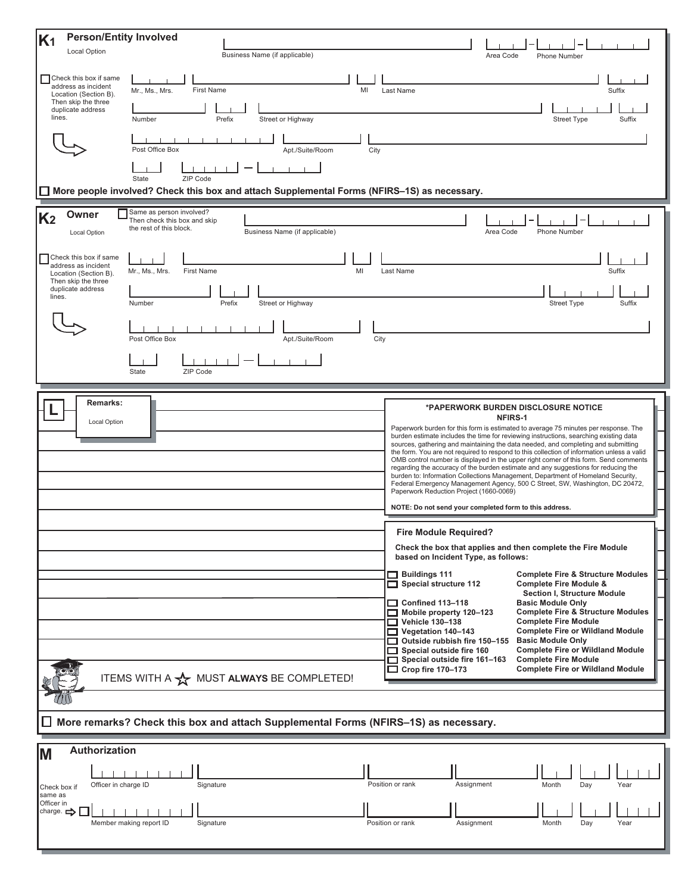| <b>Person/Entity Involved</b><br>K <sub>1</sub>                                                                                                 |                                                                                                                                                                                                                                                                                                                                                                                                                                                                                                                                                                                                                                                                                                                                                                                                                                                                                 |
|-------------------------------------------------------------------------------------------------------------------------------------------------|---------------------------------------------------------------------------------------------------------------------------------------------------------------------------------------------------------------------------------------------------------------------------------------------------------------------------------------------------------------------------------------------------------------------------------------------------------------------------------------------------------------------------------------------------------------------------------------------------------------------------------------------------------------------------------------------------------------------------------------------------------------------------------------------------------------------------------------------------------------------------------|
| Local Option                                                                                                                                    | Business Name (if applicable)<br>Area Code<br>Phone Number                                                                                                                                                                                                                                                                                                                                                                                                                                                                                                                                                                                                                                                                                                                                                                                                                      |
| Check this box if same<br>address as incident<br>Location (Section B).<br>Then skip the three<br>duplicate address<br>lines.                    | Mr., Ms., Mrs.<br><b>First Name</b><br>MI<br>Last Name<br>Suffix<br>Number<br>Street or Highway<br><b>Street Type</b><br>Suffix<br>Prefix                                                                                                                                                                                                                                                                                                                                                                                                                                                                                                                                                                                                                                                                                                                                       |
|                                                                                                                                                 | Post Office Box<br>Apt./Suite/Room<br>City                                                                                                                                                                                                                                                                                                                                                                                                                                                                                                                                                                                                                                                                                                                                                                                                                                      |
|                                                                                                                                                 | ZIP Code<br>State                                                                                                                                                                                                                                                                                                                                                                                                                                                                                                                                                                                                                                                                                                                                                                                                                                                               |
|                                                                                                                                                 | $\Box$ More people involved? Check this box and attach Supplemental Forms (NFIRS-1S) as necessary.                                                                                                                                                                                                                                                                                                                                                                                                                                                                                                                                                                                                                                                                                                                                                                              |
| Owner<br>K <sub>2</sub><br><b>Local Option</b><br>Check this box if same<br>address as incident<br>Location (Section B).<br>Then skip the three | Same as person involved?<br>Then check this box and skip<br>the rest of this block.<br>Business Name (if applicable)<br>Area Code<br>Phone Number<br>MI<br>Last Name<br>Suffix<br>Mr., Ms., Mrs.<br><b>First Name</b>                                                                                                                                                                                                                                                                                                                                                                                                                                                                                                                                                                                                                                                           |
| duplicate address<br>lines.                                                                                                                     | Number<br>Prefix<br>Street or Highway<br><b>Street Type</b><br>Suffix                                                                                                                                                                                                                                                                                                                                                                                                                                                                                                                                                                                                                                                                                                                                                                                                           |
|                                                                                                                                                 | Post Office Box<br>Apt./Suite/Room<br>City<br>ZIP Code<br>State                                                                                                                                                                                                                                                                                                                                                                                                                                                                                                                                                                                                                                                                                                                                                                                                                 |
| <b>Remarks:</b>                                                                                                                                 |                                                                                                                                                                                                                                                                                                                                                                                                                                                                                                                                                                                                                                                                                                                                                                                                                                                                                 |
| Local Option                                                                                                                                    | *PAPERWORK BURDEN DISCLOSURE NOTICE<br><b>NFIRS-1</b><br>Paperwork burden for this form is estimated to average 75 minutes per response. The<br>burden estimate includes the time for reviewing instructions, searching existing data<br>sources, gathering and maintaining the data needed, and completing and submitting<br>the form. You are not required to respond to this collection of information unless a valid<br>OMB control number is displayed in the upper right corner of this form. Send comments<br>regarding the accuracy of the burden estimate and any suggestions for reducing the<br>burden to: Information Collections Management, Department of Homeland Security,<br>Federal Emergency Management Agency, 500 C Street, SW, Washington, DC 20472,<br>Paperwork Reduction Project (1660-0069)<br>NOTE: Do not send your completed form to this address. |
|                                                                                                                                                 | <b>Fire Module Required?</b>                                                                                                                                                                                                                                                                                                                                                                                                                                                                                                                                                                                                                                                                                                                                                                                                                                                    |
|                                                                                                                                                 | Check the box that applies and then complete the Fire Module<br>based on Incident Type, as follows:                                                                                                                                                                                                                                                                                                                                                                                                                                                                                                                                                                                                                                                                                                                                                                             |
|                                                                                                                                                 | $\Box$ Buildings 111<br><b>Complete Fire &amp; Structure Modules</b><br>Special structure 112<br><b>Complete Fire Module &amp;</b><br><b>Section I, Structure Module</b><br>$\Box$ Confined 113-118<br><b>Basic Module Only</b><br><b>Complete Fire &amp; Structure Modules</b><br>Mobile property 120-123<br>$\Box$ Vehicle 130-138<br><b>Complete Fire Module</b><br><b>Complete Fire or Wildland Module</b><br>$\Box$ Vegetation 140-143<br>Outside rubbish fire 150-155<br><b>Basic Module Only</b><br><b>Complete Fire or Wildland Module</b><br>Special outside fire 160<br>Special outside fire 161-163<br><b>Complete Fire Module</b>                                                                                                                                                                                                                                   |
|                                                                                                                                                 | $\Box$ Crop fire 170-173<br><b>Complete Fire or Wildland Module</b><br>ITEMS WITH A A MUST ALWAYS BE COMPLETED!                                                                                                                                                                                                                                                                                                                                                                                                                                                                                                                                                                                                                                                                                                                                                                 |
|                                                                                                                                                 |                                                                                                                                                                                                                                                                                                                                                                                                                                                                                                                                                                                                                                                                                                                                                                                                                                                                                 |
|                                                                                                                                                 | $\Box$ More remarks? Check this box and attach Supplemental Forms (NFIRS–1S) as necessary.                                                                                                                                                                                                                                                                                                                                                                                                                                                                                                                                                                                                                                                                                                                                                                                      |
| Authorization<br>M                                                                                                                              |                                                                                                                                                                                                                                                                                                                                                                                                                                                                                                                                                                                                                                                                                                                                                                                                                                                                                 |
| Officer in charge ID<br>Check box if<br>same as                                                                                                 | Position or rank<br>Assignment<br>Signature<br>Month<br>Day<br>Year                                                                                                                                                                                                                                                                                                                                                                                                                                                                                                                                                                                                                                                                                                                                                                                                             |
| Officer in<br>charge. $\Rightarrow$                                                                                                             | Member making report ID<br>Signature<br>Position or rank<br>Assignment<br>Month<br>Day<br>Year                                                                                                                                                                                                                                                                                                                                                                                                                                                                                                                                                                                                                                                                                                                                                                                  |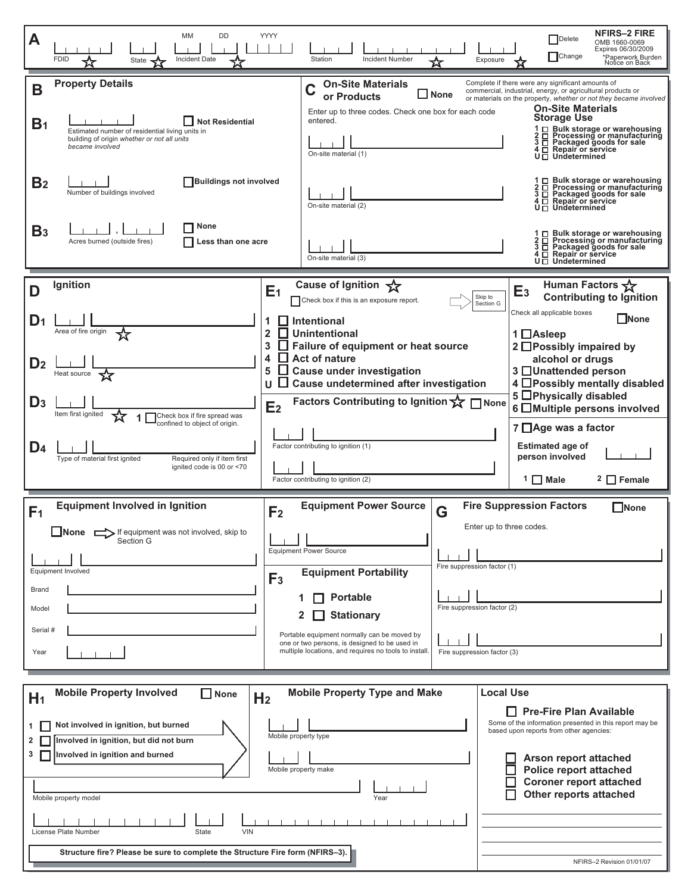| MM<br>Α<br>Incident Date<br><b>FDID</b><br>State                                                                                                                                                    | YYYY<br><b>DD</b>                                        | <b>Incident Number</b><br>Station                                                                                                         | Exposure                                                                                                                  | <b>NFIRS-2 FIRE</b><br>Delete<br>OMB 1660-0069<br>Expires 06/30/2009<br>Change<br>*Paperwork Burden<br>Notice on Back                                                                                                                                                                                                                                                                                        |
|-----------------------------------------------------------------------------------------------------------------------------------------------------------------------------------------------------|----------------------------------------------------------|-------------------------------------------------------------------------------------------------------------------------------------------|---------------------------------------------------------------------------------------------------------------------------|--------------------------------------------------------------------------------------------------------------------------------------------------------------------------------------------------------------------------------------------------------------------------------------------------------------------------------------------------------------------------------------------------------------|
| <b>Property Details</b><br>В<br>B <sub>1</sub><br>Estimated number of residential living units in<br>building of origin whether or not all units<br>became involved                                 | Not Residential                                          | <b>On-Site Materials</b><br>or Products<br>Enter up to three codes. Check one box for each code<br>entered.<br>On-site material (1)       | <b>None</b>                                                                                                               | Complete if there were any significant amounts of<br>commercial, industrial, energy, or agricultural products or<br>or materials on the property, whether or not they became involved<br><b>On-Site Materials</b><br><b>Storage Use</b><br>1 □ Bulk storage or warehousing<br>2 □ Processing or manufacturing<br>3 □ Packaged goods for sale<br>4 <sup>D</sup> Repair or service<br>$U \square$ Undetermined |
| B <sub>2</sub><br>Number of buildings involved                                                                                                                                                      | <b>Buildings not involved</b>                            | On-site material (2)                                                                                                                      |                                                                                                                           | $\Box$ Bulk storage or warehousing<br>$2 \Box$ Processing or manufactor<br>$3 \Box$ Packaged goods for sale<br>$\Box$ Processing or manufacturing<br>$U \square$ Undetermined                                                                                                                                                                                                                                |
| B <sub>3</sub><br>Acres burned (outside fires)                                                                                                                                                      | None<br>Less than one acre                               | On-site material (3)                                                                                                                      |                                                                                                                           | 1 □ Bulk storage or warehousing<br>2 □ Processing or manufacturing<br>$3 \Box$ Packaged goods for sale<br>$4 \Box$ Repair or service<br>$U \square$ Undetermined                                                                                                                                                                                                                                             |
| Ignition<br>D                                                                                                                                                                                       | E <sub>1</sub>                                           | Cause of Ignition X<br>Check box if this is an exposure report.                                                                           | Skip to                                                                                                                   | Human Factors $\sqrt{\phantom{a}}$<br>E <sub>3</sub><br><b>Contributing to Ignition</b>                                                                                                                                                                                                                                                                                                                      |
| D <sub>1</sub><br>Area of fire origin                                                                                                                                                               | 1<br>$\overline{\mathbf{2}}$                             | <b>Intentional</b><br><b>Unintentional</b>                                                                                                | Section G                                                                                                                 | Check all applicable boxes<br>$\square$ None<br>1 Asleep                                                                                                                                                                                                                                                                                                                                                     |
| D <sub>2</sub><br>Heat source                                                                                                                                                                       | $\mathbf{3}$<br>4<br>5<br>U                              | Failure of equipment or heat source<br><b>Act of nature</b><br><b>Cause under investigation</b><br>Cause undetermined after investigation |                                                                                                                           | 2 □ Possibly impaired by<br>alcohol or drugs<br>3 □Unattended person<br>4 Possibly mentally disabled                                                                                                                                                                                                                                                                                                         |
| $D_3$<br>Item first ignited<br>confined to object of origin.                                                                                                                                        | E <sub>2</sub><br>Check box if fire spread was           | Factors Contributing to Ignition ☆ □ None                                                                                                 |                                                                                                                           | 5 <b>OPhysically disabled</b><br>6 Multiple persons involved<br>$7 \Box$ Age was a factor                                                                                                                                                                                                                                                                                                                    |
| D <sub>4</sub><br>Type of material first ignited                                                                                                                                                    | Required only if item first<br>ignited code is 00 or <70 | Factor contributing to ignition (1)<br>Factor contributing to ignition (2)                                                                |                                                                                                                           | <b>Estimated age of</b><br>person involved<br>$1 \square$ Male<br>2 Female                                                                                                                                                                                                                                                                                                                                   |
| <b>Equipment Involved in Ignition</b><br>F <sub>1</sub>                                                                                                                                             | F <sub>2</sub>                                           | <b>Equipment Power Source</b>                                                                                                             | G                                                                                                                         | <b>Fire Suppression Factors</b><br><b>None</b>                                                                                                                                                                                                                                                                                                                                                               |
| $\Box$ None $\Box$<br>If equipment was not involved, skip to<br>Section G<br>Equipment Involved                                                                                                     |                                                          | <b>Equipment Power Source</b><br><b>Equipment Portability</b>                                                                             | Enter up to three codes.<br>Fire suppression factor (1)                                                                   |                                                                                                                                                                                                                                                                                                                                                                                                              |
| Brand<br>Model                                                                                                                                                                                      | F <sub>3</sub><br>1                                      | <b>Portable</b>                                                                                                                           | Fire suppression factor (2)                                                                                               |                                                                                                                                                                                                                                                                                                                                                                                                              |
| <b>Stationary</b><br>2<br>Serial #<br>Portable equipment normally can be moved by<br>one or two persons, is designed to be used in<br>multiple locations, and requires no tools to install.<br>Year |                                                          | Fire suppression factor (3)                                                                                                               |                                                                                                                           |                                                                                                                                                                                                                                                                                                                                                                                                              |
|                                                                                                                                                                                                     |                                                          |                                                                                                                                           |                                                                                                                           |                                                                                                                                                                                                                                                                                                                                                                                                              |
| <b>Mobile Property Involved</b><br>H <sub>1</sub>                                                                                                                                                   | $\Box$ None<br>H <sub>2</sub>                            | <b>Mobile Property Type and Make</b>                                                                                                      | <b>Local Use</b>                                                                                                          |                                                                                                                                                                                                                                                                                                                                                                                                              |
| Not involved in ignition, but burned<br>$\mathbf{1}$<br>Involved in ignition, but did not burn<br>2                                                                                                 | Mobile property type                                     |                                                                                                                                           |                                                                                                                           | $\Box$ Pre-Fire Plan Available<br>Some of the information presented in this report may be<br>based upon reports from other agencies:                                                                                                                                                                                                                                                                         |
| 3<br>Involved in ignition and burned<br>Mobile property make<br>Mobile property model<br>Year                                                                                                       |                                                          |                                                                                                                                           | <b>Arson report attached</b><br><b>Police report attached</b><br><b>Coroner report attached</b><br>Other reports attached |                                                                                                                                                                                                                                                                                                                                                                                                              |
| License Plate Number<br><b>VIN</b><br>State                                                                                                                                                         |                                                          |                                                                                                                                           |                                                                                                                           |                                                                                                                                                                                                                                                                                                                                                                                                              |
| Structure fire? Please be sure to complete the Structure Fire form (NFIRS-3).                                                                                                                       |                                                          |                                                                                                                                           |                                                                                                                           | NFIRS-2 Revision 01/01/07                                                                                                                                                                                                                                                                                                                                                                                    |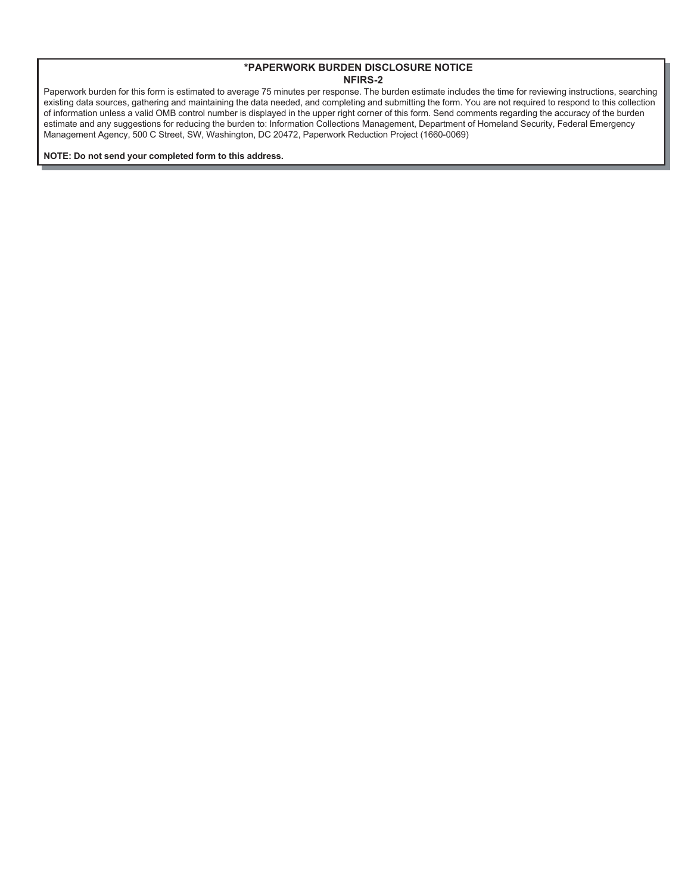Paperwork burden for this form is estimated to average 75 minutes per response. The burden estimate includes the time for reviewing instructions, searching existing data sources, gathering and maintaining the data needed, and completing and submitting the form. You are not required to respond to this collection of information unless a valid OMB control number is displayed in the upper right corner of this form. Send comments regarding the accuracy of the burden estimate and any suggestions for reducing the burden to: Information Collections Management, Department of Homeland Security, Federal Emergency Management Agency, 500 C Street, SW, Washington, DC 20472, Paperwork Reduction Project (1660-0069)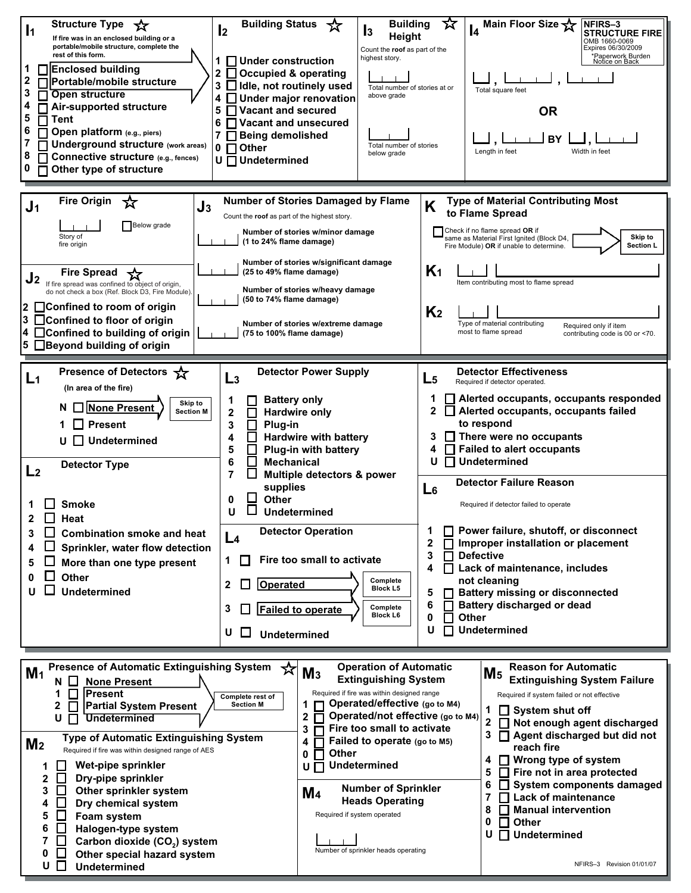| <b>Structure Type</b><br>*<br>$\mathbf{I_2}$<br>$\mathbf{I}$<br>If fire was in an enclosed building or a<br>portable/mobile structure, complete the<br>rest of this form.<br>□Enclosed building<br>2<br>$\Box$ Portable/mobile structure<br>3<br>Open structure<br>□ Air-supported structure<br>5<br>$\boldsymbol{\mathsf{\Pi}}$ Tent<br>6<br>Open platform (e.g., piers)<br>Underground structure (work areas)<br>$0$ $\Box$ Other<br>8<br>Connective structure (e.g., fences)<br>0<br>$\Box$ Other type of structure                                                                                                                                                                                                                                 | <b>Building</b><br><b>Building Status</b><br>☆<br>l3<br>Height<br>Count the roof as part of the<br>highest story.<br>1 □ Under construction<br>2 □ Occupied & operating<br>3 Idle, not routinely used<br>Total number of stories at or<br>above grade<br>4 JUnder major renovation<br>5 Vacant and secured<br>$6\Box$ Vacant and unsecured<br>7 Being demolished<br>Total number of stories<br>below grade<br>U Undetermined                                                                | ☆<br>Main Floor Size<br>NFIRS-3<br><b>STRUCTURE FIRE</b><br>OMB 1660-0069<br>Expires 06/30/2009<br>*Paperwork Burden<br>Notice on Back<br>Total square feet<br><b>OR</b><br>BY<br>Length in feet<br>Width in feet                                                                                                                                                                                                                                                                                                                                                                                                                                                                                                                                            |
|--------------------------------------------------------------------------------------------------------------------------------------------------------------------------------------------------------------------------------------------------------------------------------------------------------------------------------------------------------------------------------------------------------------------------------------------------------------------------------------------------------------------------------------------------------------------------------------------------------------------------------------------------------------------------------------------------------------------------------------------------------|---------------------------------------------------------------------------------------------------------------------------------------------------------------------------------------------------------------------------------------------------------------------------------------------------------------------------------------------------------------------------------------------------------------------------------------------------------------------------------------------|--------------------------------------------------------------------------------------------------------------------------------------------------------------------------------------------------------------------------------------------------------------------------------------------------------------------------------------------------------------------------------------------------------------------------------------------------------------------------------------------------------------------------------------------------------------------------------------------------------------------------------------------------------------------------------------------------------------------------------------------------------------|
| <b>Fire Origin</b><br>☆<br>J <sub>1</sub><br>J3<br><b>Below</b> grade<br>Story of<br>fire origin<br><b>Fire Spread</b><br>J2<br>If fire spread was confined to object of origin,<br>do not check a box (Ref. Block D3, Fire Module)<br>$2$ $\Box$ Confined to room of origin<br>□Confined to floor of origin<br>3<br>$\overline{4}$ $\Box$ Confined to building of origin<br>5 □ Beyond building of origin                                                                                                                                                                                                                                                                                                                                             | <b>Number of Stories Damaged by Flame</b><br>Count the roof as part of the highest story.<br>Number of stories w/minor damage<br>(1 to 24% flame damage)<br>Number of stories w/significant damage<br>(25 to 49% flame damage)<br>Number of stories w/heavy damage<br>(50 to 74% flame damage)<br>Number of stories w/extreme damage<br>(75 to 100% flame damage)                                                                                                                           | <b>Type of Material Contributing Most</b><br>K<br>to Flame Spread<br>Check if no flame spread OR if<br>Skip to<br>same as Material First Ignited (Block D4,<br>Section L<br>Fire Module) OR if unable to determine.<br>K <sub>1</sub><br>Item contributing most to flame spread<br>K <sub>2</sub><br>Type of material contributing<br>Required only if item<br>most to flame spread<br>contributing code is 00 or <70.                                                                                                                                                                                                                                                                                                                                       |
| Presence of Detectors $\frac{1}{2}$<br>L <sub>3</sub><br>L1<br>(In area of the fire)<br>1<br>Skip to<br>None Present<br><b>Section M</b><br>2<br><b>Present</b><br>3<br>4<br>$\Box$ Undetermined<br>U<br>5<br>6<br><b>Detector Type</b><br>L2<br>7<br>0<br><b>Smoke</b><br>U<br>$\Box$ Heat<br>2<br>П<br><b>Combination smoke and heat</b><br>3<br>L <sub>4</sub><br>Sprinkler, water flow detection<br>4<br>$\mathbf 1$<br>$\mathbf{I}$<br>More than one type present<br>5<br><b>Other</b><br>0<br>$\mathbf{2}$<br><b>Undetermined</b><br>U<br>3<br>U<br>$\mathbf{L}$                                                                                                                                                                                 | <b>Detector Power Supply</b><br><b>Battery only</b><br><b>Hardwire only</b><br>Plug-in<br><b>Hardwire with battery</b><br>Plug-in with battery<br><b>Mechanical</b><br>Multiple detectors & power<br>supplies<br>Other<br><b>Undetermined</b><br><b>Detector Operation</b><br>Fire too small to activate<br>Complete<br>Operated<br><b>Block L5</b><br>Complete<br><b>Failed to operate</b><br><b>Block L6</b><br><b>Undetermined</b>                                                       | <b>Detector Effectiveness</b><br>$L_{5}$<br>Required if detector operated.<br>Alerted occupants, occupants responded<br>1<br>Alerted occupants, occupants failed<br>$\mathbf{2}$<br>to respond<br>There were no occupants<br>3<br><b>Failed to alert occupants</b><br>4<br>U<br><b>Undetermined</b><br><b>Detector Failure Reason</b><br>L <sub>6</sub><br>Required if detector failed to operate<br>Power failure, shutoff, or disconnect<br>1<br>$\mathbf{2}$<br>Improper installation or placement<br>П<br>3<br><b>Defective</b><br>П<br>4<br>$\Box$<br>Lack of maintenance, includes<br>not cleaning<br><b>Battery missing or disconnected</b><br>5<br><b>Battery discharged or dead</b><br>6<br>П<br>0<br><b>Other</b><br><b>Undetermined</b><br>U<br>П |
| <b>Presence of Automatic Extinguishing System</b><br>M <sub>1</sub><br><b>None Present</b><br>N<br><b>Present</b><br>1<br>Complete rest of<br><b>Section M</b><br><b>Partial System Present</b><br>2<br>U<br><b>Undetermined</b><br><b>Type of Automatic Extinguishing System</b><br>M <sub>2</sub><br>Required if fire was within designed range of AES<br>Wet-pipe sprinkler<br>$\mathbf{I}$<br>1<br>$\mathbf{2}$<br>$\Box$<br>Dry-pipe sprinkler<br>Other sprinkler system<br>3<br>I I<br>Dry chemical system<br>4<br>5<br>$\Box$<br>Foam system<br>6<br>$\mathsf{L}$<br>Halogen-type system<br>$\overline{7}$<br>$\Box$<br>Carbon dioxide (CO <sub>2</sub> ) system<br>0<br>Ш<br>Other special hazard system<br>U<br>$\Box$<br><b>Undetermined</b> | <b>Operation of Automatic</b><br>☆<br>M <sub>3</sub><br><b>Extinguishing System</b><br>Required if fire was within designed range<br>Operated/effective (go to M4)<br>1<br>Operated/not effective (go to M4)<br>2<br>Fire too small to activate<br>3<br>Failed to operate (go to M5)<br>4<br><b>Other</b><br>0<br><b>Undetermined</b><br>uΠ<br><b>Number of Sprinkler</b><br>$\mathbf{M}$ 4<br><b>Heads Operating</b><br>Required if system operated<br>Number of sprinkler heads operating | <b>Reason for Automatic</b><br>M <sub>5</sub><br><b>Extinguishing System Failure</b><br>Required if system failed or not effective<br>1<br>$\Box$ System shut off<br>2 Not enough agent discharged<br>Agent discharged but did not<br>3<br>reach fire<br>$\Box$ Wrong type of system<br>4<br>5<br>$\Box$ Fire not in area protected<br>System components damaged<br>6<br><u> 1 I</u><br>7<br>$\Box$ Lack of maintenance<br>8<br><b>Manual intervention</b><br>П<br><b>Other</b><br>0<br>П<br>U<br>□ Undetermined<br>NFIRS-3 Revision 01/01/07                                                                                                                                                                                                                |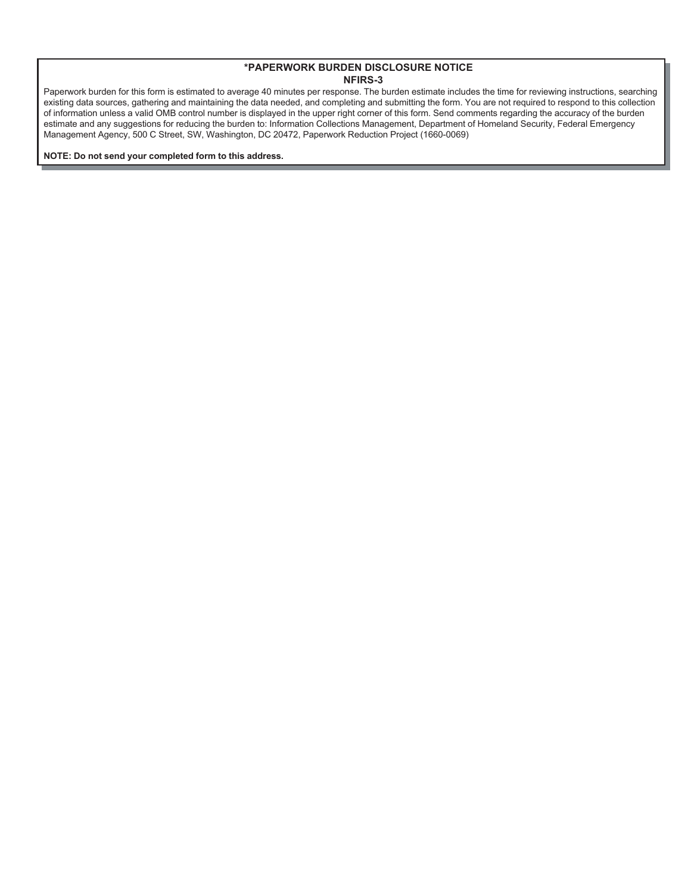Paperwork burden for this form is estimated to average 40 minutes per response. The burden estimate includes the time for reviewing instructions, searching existing data sources, gathering and maintaining the data needed, and completing and submitting the form. You are not required to respond to this collection of information unless a valid OMB control number is displayed in the upper right corner of this form. Send comments regarding the accuracy of the burden estimate and any suggestions for reducing the burden to: Information Collections Management, Department of Homeland Security, Federal Emergency Management Agency, 500 C Street, SW, Washington, DC 20472, Paperwork Reduction Project (1660-0069)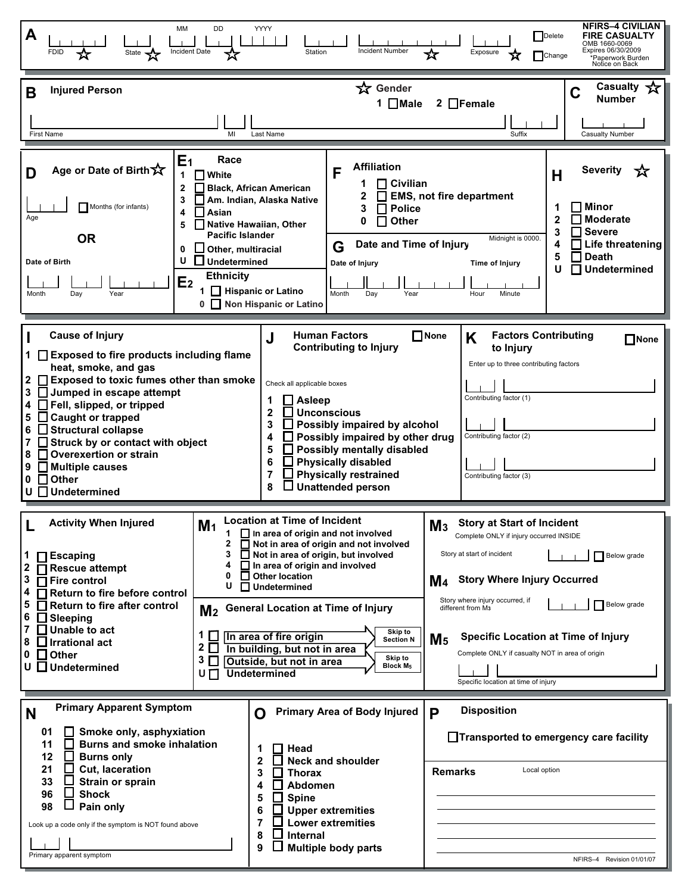| NFIRS-4 CIVILIAN<br>YYYY<br>МM<br>DD<br>A<br>Delete<br><b>FIRE CASUALTY</b><br>OMB 1660-0069<br>Expires 06/30/2009<br>Incident Date<br>State <b>A</b><br>Incident Number<br>Station<br><b>FDID</b><br>Exposure<br>☆<br>Change<br>Paperwork Burden<br>Notice on Back                                                                                                                                                                                         |                                                                                                                                                                                                                                                                                                                                                                                                                                                                                                                                                                                                     |                                                                                                                                                                                                                                                                 |                                                                                                                                                                                                                                                                                                                                                                                                        |                                                                                                                                                               |
|-------------------------------------------------------------------------------------------------------------------------------------------------------------------------------------------------------------------------------------------------------------------------------------------------------------------------------------------------------------------------------------------------------------------------------------------------------------|-----------------------------------------------------------------------------------------------------------------------------------------------------------------------------------------------------------------------------------------------------------------------------------------------------------------------------------------------------------------------------------------------------------------------------------------------------------------------------------------------------------------------------------------------------------------------------------------------------|-----------------------------------------------------------------------------------------------------------------------------------------------------------------------------------------------------------------------------------------------------------------|--------------------------------------------------------------------------------------------------------------------------------------------------------------------------------------------------------------------------------------------------------------------------------------------------------------------------------------------------------------------------------------------------------|---------------------------------------------------------------------------------------------------------------------------------------------------------------|
| <b>Injured Person</b><br>B                                                                                                                                                                                                                                                                                                                                                                                                                                  |                                                                                                                                                                                                                                                                                                                                                                                                                                                                                                                                                                                                     | ☆ Gender<br>1 ■Male                                                                                                                                                                                                                                             | $2$ $\Box$ Female                                                                                                                                                                                                                                                                                                                                                                                      | Casualty<br>C<br><b>Number</b>                                                                                                                                |
| <b>First Name</b>                                                                                                                                                                                                                                                                                                                                                                                                                                           | MI<br>Last Name                                                                                                                                                                                                                                                                                                                                                                                                                                                                                                                                                                                     |                                                                                                                                                                                                                                                                 | Suffix                                                                                                                                                                                                                                                                                                                                                                                                 | <b>Casualty Number</b>                                                                                                                                        |
| E <sub>1</sub><br>Age or Date of Birth<br>D<br>1<br>$\mathbf{2}$<br>3<br>Months (for infants)<br>4<br>Age<br>5<br><b>OR</b><br>0<br>U<br>Date of Birth<br>E <sub>2</sub><br>Year<br>Month<br>Day                                                                                                                                                                                                                                                            | Race<br>$\blacksquare$ White<br>Black, African American<br>Am. Indian, Alaska Native<br>l I Asian<br>Native Hawaiian, Other<br><b>Pacific Islander</b><br>$\Box$ Other, multiracial<br>$\Box$ Undetermined<br><b>Ethnicity</b><br>Hispanic or Latino<br>0 Non Hispanic or Latino                                                                                                                                                                                                                                                                                                                    | <b>Affiliation</b><br>F<br>$\sqcap$ Civilian<br>3<br>П<br><b>Police</b><br><b>Other</b><br>0<br>Date and Time of Injury<br>G<br>Date of Injury<br>Month<br>Day<br>Year                                                                                          | $\Box$ EMS, not fire department<br>Midnight is 0000.<br>Time of Injury<br>Hour<br>Minute                                                                                                                                                                                                                                                                                                               | Severity<br>ኧ<br>Н<br>Minor<br>1<br>2<br><b>Moderate</b><br><b>Severe</b><br>3<br>Life threatening<br>4<br><b>Death</b><br>5<br><b>Undetermined</b><br>П<br>U |
| <b>Cause of Injury</b><br>1 □ Exposed to fire products including flame<br>heat, smoke, and gas<br>Exposed to toxic fumes other than smoke<br>2<br>3<br>$\Box$ Jumped in escape attempt<br>Fell, slipped, or tripped<br>4<br><b>Caught or trapped</b><br>5<br><b>Structural collapse</b><br>6<br>Struck by or contact with object<br>7<br><b>Overexertion or strain</b><br>8<br>$\Box$ Multiple causes<br>9<br>$\Box$ Other<br>0<br>$\Box$ Undetermined<br>U | J<br>Check all applicable boxes<br>$\Box$ Asleep<br>1<br>$\mathbf{2}$<br>$\Box$ Unconscious<br>3<br>4<br>$\mathbf{L}$<br>5<br>6<br>7<br>ப<br>8                                                                                                                                                                                                                                                                                                                                                                                                                                                      | <b>Human Factors</b><br>$\Box$ None<br><b>Contributing to Injury</b><br>Possibly impaired by alcohol<br>Possibly impaired by other drug<br>Possibly mentally disabled<br><b>Physically disabled</b><br><b>Physically restrained</b><br><b>Unattended person</b> | <b>Factors Contributing</b><br>K<br>to Injury<br>Enter up to three contributing factors<br>Contributing factor (1)<br>Contributing factor (2)<br>Contributing factor (3)                                                                                                                                                                                                                               | $\square$ None                                                                                                                                                |
| <b>Activity When Injured</b><br>$\Box$ Escaping<br>1<br>2<br>$\prod$ Rescue attempt<br>3<br>$\overline{\blacksquare}$ Fire control<br>4<br>$\Box$ Return to fire before control<br>5<br>$\overline{\Box}$ Return to fire after control<br>6<br>$\Box$ Sleeping<br>7<br>$\Box$ Unable to act<br>8<br>$\Box$ Irrational act<br>0<br>$\Box$ Other<br>$U$ $\square$ Undetermined                                                                                | <b>Location at Time of Incident</b><br>M <sub>1</sub><br>$\Box$ In area of origin and not involved<br>Not in area of origin and not involved<br>2<br>3<br>Not in area of origin, but involved<br>4<br>In area of origin and involved<br>ш<br><b>Other location</b><br>0<br>U<br>$\Box$ Undetermined<br><b>General Location at Time of Injury</b><br>M <sub>2</sub><br>Skip to<br>1 L I<br>In area of fire origin<br><b>Section N</b><br>$2\Box$<br>In building, but not in area<br>Skip to<br>3 <sub>1</sub><br>Outside, but not in area<br><b>Block M<sub>5</sub></b><br><b>Undetermined</b><br>UΠ |                                                                                                                                                                                                                                                                 | <b>Story at Start of Incident</b><br>M <sub>3</sub><br>Complete ONLY if injury occurred INSIDE<br>Story at start of incident<br><b>Story Where Injury Occurred</b><br>M4<br>Story where injury occurred, if<br>different from M <sub>3</sub><br><b>Specific Location at Time of Injury</b><br>M <sub>5</sub><br>Complete ONLY if casualty NOT in area of origin<br>Specific location at time of injury | Below grade<br>Below grade                                                                                                                                    |
| <b>Primary Apparent Symptom</b><br>N<br>01<br>Smoke only, asphyxiation<br>11<br><b>Burns and smoke inhalation</b><br>$\Box$<br>12<br><b>Burns only</b><br>$\Box$<br>Cut, laceration<br>21<br>33<br>Strain or sprain<br><b>Shock</b><br>96<br>98<br>Pain only<br>Look up a code only if the symptom is NOT found above<br>Primary apparent symptom                                                                                                           | O<br>Head<br>1<br>2<br>3<br><b>Thorax</b><br>Abdomen<br>4<br><b>Spine</b><br>5<br>6<br>7<br>l 1<br>Internal<br>8<br>9                                                                                                                                                                                                                                                                                                                                                                                                                                                                               | <b>Primary Area of Body Injured</b><br>P<br><b>Neck and shoulder</b><br><b>Upper extremities</b><br><b>Lower extremities</b><br><b>Multiple body parts</b>                                                                                                      | <b>Disposition</b><br>Transported to emergency care facility<br>Local option<br><b>Remarks</b>                                                                                                                                                                                                                                                                                                         | NFIRS-4 Revision 01/01/07                                                                                                                                     |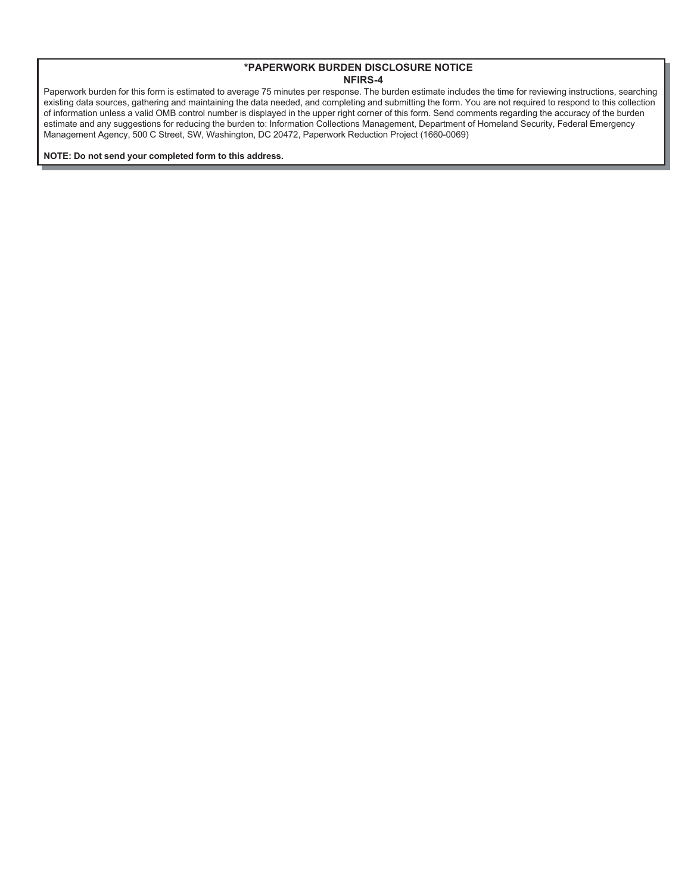Paperwork burden for this form is estimated to average 75 minutes per response. The burden estimate includes the time for reviewing instructions, searching existing data sources, gathering and maintaining the data needed, and completing and submitting the form. You are not required to respond to this collection of information unless a valid OMB control number is displayed in the upper right corner of this form. Send comments regarding the accuracy of the burden estimate and any suggestions for reducing the burden to: Information Collections Management, Department of Homeland Security, Federal Emergency Management Agency, 500 C Street, SW, Washington, DC 20472, Paperwork Reduction Project (1660-0069)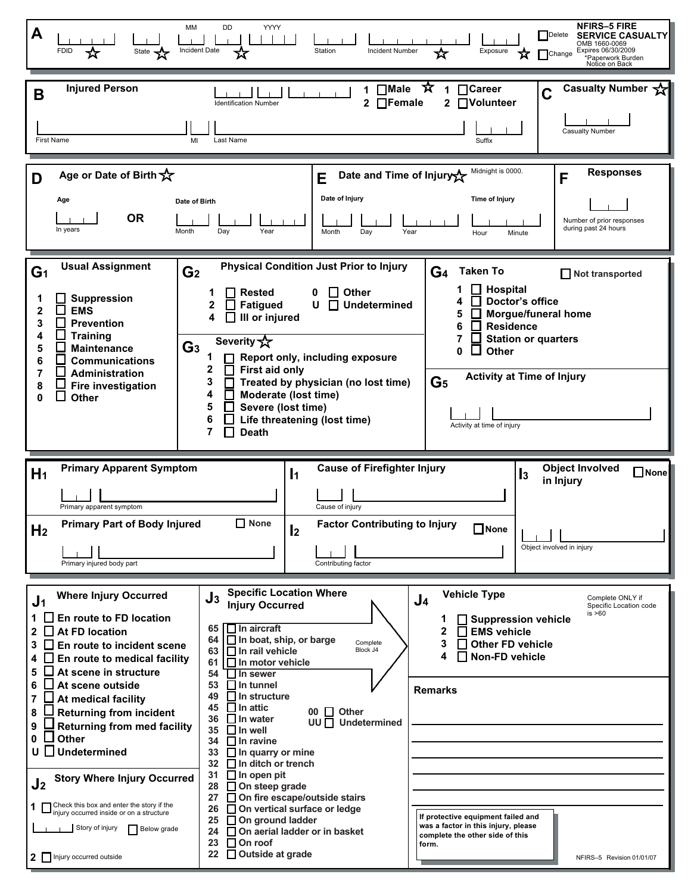| A                                                      | MM<br><b>FDID</b><br>State <b>Y</b>                                                                                                                                                                                                                  | <b>DD</b><br>YYYY<br>Incident Date                                                                                                                                                                                                       | Station<br><b>Incident Number</b>                                                                                                                                           | Exposure<br>☆                                                                                                                                                                                                                                                        | NFIRS-5 FIRE<br>Delete<br><b>SERVICE CASUALTY</b><br>OMB 1660-0069<br>Expires 06/30/2009<br>Change<br>*Paperwork Burden<br>Notice on Back |
|--------------------------------------------------------|------------------------------------------------------------------------------------------------------------------------------------------------------------------------------------------------------------------------------------------------------|------------------------------------------------------------------------------------------------------------------------------------------------------------------------------------------------------------------------------------------|-----------------------------------------------------------------------------------------------------------------------------------------------------------------------------|----------------------------------------------------------------------------------------------------------------------------------------------------------------------------------------------------------------------------------------------------------------------|-------------------------------------------------------------------------------------------------------------------------------------------|
| B                                                      | <b>Injured Person</b><br>First Name<br>MI                                                                                                                                                                                                            | <b>Identification Number</b><br>Last Name                                                                                                                                                                                                | $\Box$ Male $\hat{X}$<br>1<br>$\Box$ Female<br>2                                                                                                                            | $\blacksquare$ Career<br>1<br>C<br><b>Nolunteer</b><br>$\mathbf{2}$<br>Suffix                                                                                                                                                                                        | <b>Casualty Number</b><br><b>Casualty Number</b>                                                                                          |
| D                                                      | Age or Date of Birth $\overleftrightarrow{\mathbf{x}}$<br>Age<br><b>OR</b><br>In years<br>Month                                                                                                                                                      | Date of Birth<br>Day<br>Year                                                                                                                                                                                                             | Date and Time of Injury<br>E<br>Date of Injury<br>Month<br>Day<br>Year                                                                                                      | Midnight is 0000.<br>Time of Injury<br>Hour<br>Minute                                                                                                                                                                                                                | <b>Responses</b><br>F<br>Number of prior responses<br>during past 24 hours                                                                |
| G <sub>1</sub><br>2<br>3<br>4<br>5<br>6<br>7<br>8<br>0 | <b>Usual Assignment</b><br>G <sub>2</sub><br><b>Suppression</b><br><b>EMS</b><br><b>Prevention</b><br><b>Training</b><br>G <sub>3</sub><br><b>Maintenance</b><br><b>Communications</b><br>Administration<br><b>Fire investigation</b><br>l.<br>Other | <b>Rested</b><br><b>Fatigued</b><br>III or injured<br>4<br>Severity $\sqrt{x}$<br>1<br>2<br><b>First aid only</b><br>3<br>4<br>Moderate (lost time)<br>5<br>Severe (lost time)<br>6<br>Life threatening (lost time)<br>7<br><b>Death</b> | <b>Physical Condition Just Prior to Injury</b><br><b>Other</b><br><b>Undetermined</b><br>U<br>l l<br>Report only, including exposure<br>Treated by physician (no lost time) | <b>Taken To</b><br>G <sub>4</sub><br><b>Hospital</b><br>Doctor's office<br><b>Morgue/funeral home</b><br>5<br><b>Residence</b><br>6<br><b>Station or quarters</b><br>Other<br>O<br><b>Activity at Time of Injury</b><br>G <sub>5</sub><br>Activity at time of injury | Not transported                                                                                                                           |
| H <sub>1</sub>                                         | <b>Primary Apparent Symptom</b><br>Primary apparent symptom                                                                                                                                                                                          | $\mathbf{I}$                                                                                                                                                                                                                             | <b>Cause of Firefighter Injury</b>                                                                                                                                          | $\mathbf{I}$ <sub>3</sub>                                                                                                                                                                                                                                            | <b>Object Involved</b><br>$\Box$ None<br>in Injury                                                                                        |
| H <sub>2</sub>                                         | <b>Primary Part of Body Injured</b><br>Primary injured body part                                                                                                                                                                                     | <b>∐ None</b><br>$\mathbf{I}$                                                                                                                                                                                                            | Cause of injury<br><b>Factor Contributing to Injury</b><br>Contributing factor                                                                                              | $\Box$ None                                                                                                                                                                                                                                                          | Object involved in injury                                                                                                                 |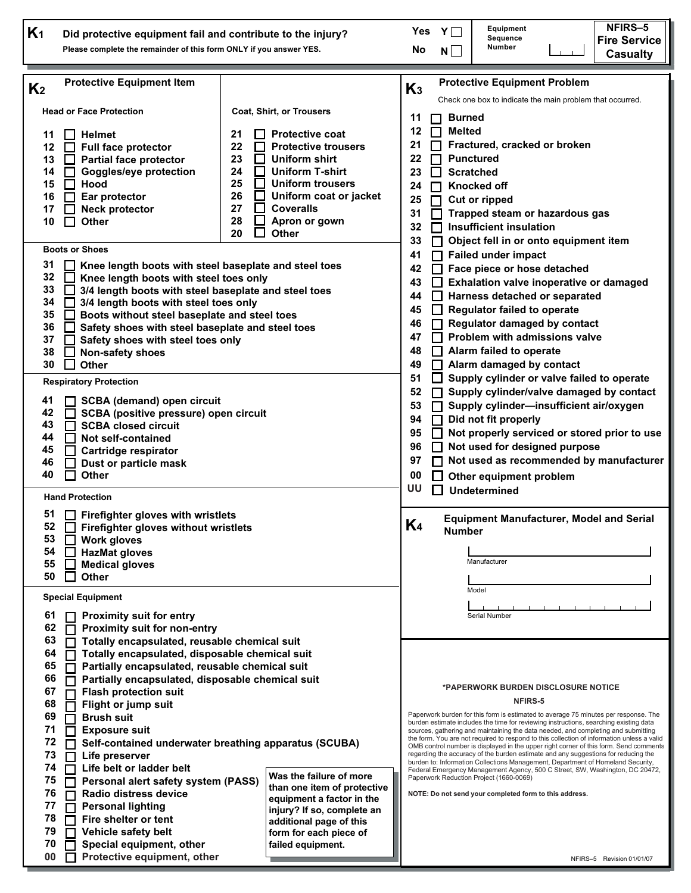| K <sub>1</sub>                                                                                           | Did protective equipment fail and contribute to the injury?<br>Please complete the remainder of this form ONLY if you answer YES.                                                                                                                                                                                                                                                                                                                                                                                                                                                                                                                                                |                                                                                                                                                                                                                                                                                             | NFIRS-5<br>Equipment<br>YL<br>Yes<br>Sequence<br><b>Fire Service</b><br>Number<br>No<br>N<br><b>Casualty</b>                                                                                                                                                                                                                                                                                                                                                                                                                                                                                                                                                                                                                                                                                                                                                                                          |
|----------------------------------------------------------------------------------------------------------|----------------------------------------------------------------------------------------------------------------------------------------------------------------------------------------------------------------------------------------------------------------------------------------------------------------------------------------------------------------------------------------------------------------------------------------------------------------------------------------------------------------------------------------------------------------------------------------------------------------------------------------------------------------------------------|---------------------------------------------------------------------------------------------------------------------------------------------------------------------------------------------------------------------------------------------------------------------------------------------|-------------------------------------------------------------------------------------------------------------------------------------------------------------------------------------------------------------------------------------------------------------------------------------------------------------------------------------------------------------------------------------------------------------------------------------------------------------------------------------------------------------------------------------------------------------------------------------------------------------------------------------------------------------------------------------------------------------------------------------------------------------------------------------------------------------------------------------------------------------------------------------------------------|
| K <sub>2</sub><br>11<br>12<br>13<br>14<br>15<br>16<br>17<br>10<br>31<br>32<br>33<br>34<br>35<br>36<br>37 | <b>Protective Equipment Item</b><br><b>Head or Face Protection</b><br><b>Helmet</b><br><b>Full face protector</b><br>$\Box$<br><b>Partial face protector</b><br>$\mathbf{I}$<br>Goggles/eye protection<br>П<br>Hood<br>Ear protector<br><b>Neck protector</b><br>$\sim$<br>Other<br>$\sim$<br><b>Boots or Shoes</b><br>Knee length boots with steel baseplate and steel toes<br>Knee length boots with steel toes only<br>3/4 length boots with steel baseplate and steel toes<br>3/4 length boots with steel toes only<br>$\mathbf{I}$<br>Boots without steel baseplate and steel toes<br>Safety shoes with steel baseplate and steel toes<br>Safety shoes with steel toes only | Coat, Shirt, or Trousers<br>21<br><b>Protective coat</b><br>22<br><b>Protective trousers</b><br>23<br>Uniform shirt<br>24<br><b>Uniform T-shirt</b><br>25<br><b>Uniform trousers</b><br>26<br>Uniform coat or jacket<br><b>Coveralls</b><br>27<br>28<br>Apron or gown<br><b>Other</b><br>20 | <b>Protective Equipment Problem</b><br>$K_3$<br>Check one box to indicate the main problem that occurred.<br><b>Burned</b><br>11<br>12<br><b>Melted</b><br>21<br>Fractured, cracked or broken<br>22<br><b>Punctured</b><br><b>Scratched</b><br>23<br>24<br><b>Knocked off</b><br>25<br><b>Cut or ripped</b><br>Trapped steam or hazardous gas<br>31<br><b>Insufficient insulation</b><br>32<br>Object fell in or onto equipment item<br>33<br><b>Failed under impact</b><br>41<br>42<br>Face piece or hose detached<br>Exhalation valve inoperative or damaged<br>43<br>Harness detached or separated<br>44<br><b>Regulator failed to operate</b><br>45<br>Regulator damaged by contact<br>46<br>Problem with admissions valve<br>47                                                                                                                                                                  |
| 38<br>30<br>41<br>42<br>43<br>44<br>45<br>46<br>40                                                       | Non-safety shoes<br><b>Other</b><br>$\mathcal{L}$<br><b>Respiratory Protection</b><br><b>SCBA (demand) open circuit</b><br>l I<br>SCBA (positive pressure) open circuit<br>П<br><b>SCBA closed circuit</b><br>П<br>Not self-contained<br>l l<br>Cartridge respirator<br>Dust or particle mask<br><b>Other</b><br>$\mathbf{I}$<br><b>Hand Protection</b>                                                                                                                                                                                                                                                                                                                          |                                                                                                                                                                                                                                                                                             | Alarm failed to operate<br>48<br>Alarm damaged by contact<br>49<br>Supply cylinder or valve failed to operate<br>51<br>Supply cylinder/valve damaged by contact<br>52<br>53<br>Supply cylinder-insufficient air/oxygen<br>94<br>Did not fit properly<br>95<br>Not properly serviced or stored prior to use<br>96<br>Not used for designed purpose<br>Not used as recommended by manufacturer<br>97<br>00<br>Other equipment problem<br>บบ<br><b>Undetermined</b>                                                                                                                                                                                                                                                                                                                                                                                                                                      |
| 51<br>53<br>54<br>55<br>50<br>61<br>62                                                                   | $\Box$ Firefighter gloves with wristlets<br>52 Firefighter gloves without wristlets<br>П<br><b>Work gloves</b><br><b>HazMat gloves</b><br><b>Medical gloves</b><br><b>Other</b><br>$\blacksquare$<br><b>Special Equipment</b><br><b>Proximity suit for entry</b><br><b>Proximity suit for non-entry</b>                                                                                                                                                                                                                                                                                                                                                                          |                                                                                                                                                                                                                                                                                             | <b>Equipment Manufacturer, Model and Serial</b><br>K <sub>4</sub><br><b>Number</b><br>Manufacturer<br>Model<br>Serial Number                                                                                                                                                                                                                                                                                                                                                                                                                                                                                                                                                                                                                                                                                                                                                                          |
| 63<br>64<br>65<br>66<br>67<br>68<br>69<br>71<br>72<br>73<br>74<br>75<br>76<br>77<br>78<br>79<br>70<br>00 | Totally encapsulated, reusable chemical suit<br>П<br>Totally encapsulated, disposable chemical suit<br>Partially encapsulated, reusable chemical suit<br>Partially encapsulated, disposable chemical suit<br><b>Flash protection suit</b><br>Flight or jump suit<br><b>Brush suit</b><br><b>T</b><br><b>Exposure suit</b><br>Life preserver<br>Life belt or ladder belt<br>Personal alert safety system (PASS)<br>Radio distress device<br><b>Personal lighting</b><br>Fire shelter or tent<br>Vehicle safety belt<br>Special equipment, other<br>Protective equipment, other                                                                                                    | Self-contained underwater breathing apparatus (SCUBA)<br>Was the failure of more<br>than one item of protective<br>equipment a factor in the<br>injury? If so, complete an<br>additional page of this<br>form for each piece of<br>failed equipment.                                        | *PAPERWORK BURDEN DISCLOSURE NOTICE<br>NFIRS-5<br>Paperwork burden for this form is estimated to average 75 minutes per response. The<br>burden estimate includes the time for reviewing instructions, searching existing data<br>sources, gathering and maintaining the data needed, and completing and submitting<br>the form. You are not required to respond to this collection of information unless a valid<br>OMB control number is displayed in the upper right corner of this form. Send comments<br>regarding the accuracy of the burden estimate and any suggestions for reducing the<br>burden to: Information Collections Management, Department of Homeland Security,<br>Federal Emergency Management Agency, 500 C Street, SW, Washington, DC 20472,<br>Paperwork Reduction Project (1660-0069)<br>NOTE: Do not send your completed form to this address.<br>NFIRS-5 Revision 01/01/07 |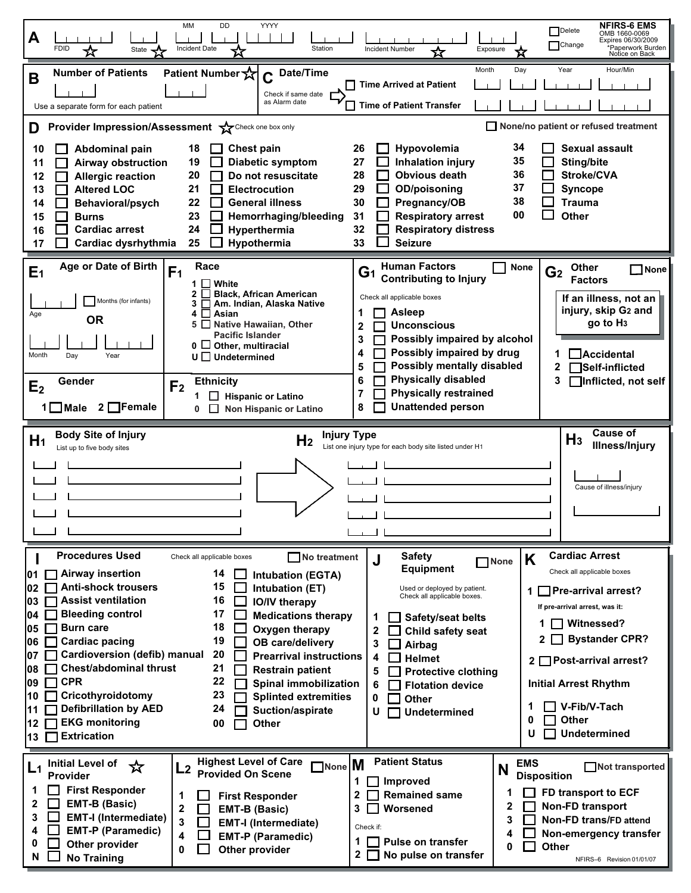| YYYY<br>MM<br>DD<br><b>NFIRS-6 EMS</b><br>Delete<br>OMB 1660-0069<br>A<br>Expires 06/30/2009<br>Change<br><b>Incident Date</b><br><b>Incident Number</b><br>Station<br>*Paperwork Burden<br>Notice on Back<br><b>FDID</b><br>Exposure<br>State                                                                                                                                                                                                                                                                                                                                                                                                                                                                                                                                                                                                                                                                                                                                                                                                                                                                                                                                                                                                                                                                                                                                                                                                                                                                                                                                               |
|----------------------------------------------------------------------------------------------------------------------------------------------------------------------------------------------------------------------------------------------------------------------------------------------------------------------------------------------------------------------------------------------------------------------------------------------------------------------------------------------------------------------------------------------------------------------------------------------------------------------------------------------------------------------------------------------------------------------------------------------------------------------------------------------------------------------------------------------------------------------------------------------------------------------------------------------------------------------------------------------------------------------------------------------------------------------------------------------------------------------------------------------------------------------------------------------------------------------------------------------------------------------------------------------------------------------------------------------------------------------------------------------------------------------------------------------------------------------------------------------------------------------------------------------------------------------------------------------|
| Month<br>Day<br>Year<br>Hour/Min<br><b>Number of Patients</b><br>Patient Number X<br>$C$ Date/Time<br>B<br><b>Time Arrived at Patient</b><br>Check if same date<br>as Alarm date<br>□ Time of Patient Transfer<br>Use a separate form for each patient<br>None/no patient or refused treatment<br>Provider Impression/Assessment >>>>Check one box only<br>D                                                                                                                                                                                                                                                                                                                                                                                                                                                                                                                                                                                                                                                                                                                                                                                                                                                                                                                                                                                                                                                                                                                                                                                                                                 |
| 34<br><b>Sexual assault</b><br>Hypovolemia<br>Abdominal pain<br><b>Chest pain</b><br>10<br>18<br>26<br>35<br>19<br><b>Inhalation injury</b><br>Diabetic symptom<br>27<br>Sting/bite<br>11<br><b>Airway obstruction</b><br>36<br><b>Obvious death</b><br>Stroke/CVA<br>20<br>Do not resuscitate<br>28<br>12<br><b>Allergic reaction</b><br>37<br><b>Altered LOC</b><br>21<br><b>Electrocution</b><br>29<br><b>OD/poisoning</b><br><b>Syncope</b><br>13<br>38<br>22<br><b>General illness</b><br>30<br>Pregnancy/OB<br><b>Trauma</b><br>Behavioral/psych<br>14<br>00<br><b>Other</b><br>23<br>Hemorrhaging/bleeding<br>31<br><b>Respiratory arrest</b><br>15<br><b>Burns</b><br><b>Cardiac arrest</b><br><b>Respiratory distress</b><br>24<br>Hyperthermia<br>32<br>16<br>Cardiac dysrhythmia<br>25<br>Hypothermia<br>33<br><b>Seizure</b><br>17                                                                                                                                                                                                                                                                                                                                                                                                                                                                                                                                                                                                                                                                                                                                               |
| Age or Date of Birth<br><b>Human Factors</b><br>Race<br><b>None</b><br><b>Other</b><br>$\Box$ None<br>F <sub>1</sub><br>E <sub>1</sub><br>G <sub>2</sub><br>G1<br><b>Contributing to Injury</b><br><b>Factors</b><br>1 $\Box$ White<br><b>Black, African American</b><br>2<br>ΙI<br>Check all applicable boxes<br>If an illness, not an<br>Months (for infants)<br>Am. Indian, Alaska Native<br>injury, skip G2 and<br><b>Asleep</b><br>1<br>4<br>$\Box$ Asian<br>Age<br><b>OR</b><br>go to H <sub>3</sub><br><b>Native Hawaiian, Other</b><br>5<br>$\Box$<br><b>Unconscious</b><br>$\mathbf{2}$<br><b>Pacific Islander</b><br>Possibly impaired by alcohol<br>3<br>$0 \Box$ Other, multiracial<br>Possibly impaired by drug<br>4<br>Accidental<br>Month<br>Day<br>Year<br>$U \square$ Undetermined<br>Possibly mentally disabled<br>5<br>Self-inflicted<br><b>Physically disabled</b><br>6<br>3<br>Inflicted, not self<br><b>Ethnicity</b><br>Gender<br>F <sub>2</sub><br>E <sub>2</sub><br><b>Physically restrained</b><br>7<br>$\Box$ Hispanic or Latino<br>1<br><b>Unattended person</b><br>$2$ Female<br>8<br>$1 \blacksquare$ Male<br>Non Hispanic or Latino<br>0<br>$\Box$                                                                                                                                                                                                                                                                                                                                                                                                            |
| Cause of<br><b>Body Site of Injury</b><br><b>Injury Type</b><br>$H_3$<br>H <sub>1</sub><br>H <sub>2</sub><br><b>Illness/Injury</b><br>List one injury type for each body site listed under H1<br>List up to five body sites<br>Cause of illness/injury                                                                                                                                                                                                                                                                                                                                                                                                                                                                                                                                                                                                                                                                                                                                                                                                                                                                                                                                                                                                                                                                                                                                                                                                                                                                                                                                       |
| <b>Procedures Used</b><br><b>Cardiac Arrest</b><br><b>Safety</b><br>No treatment<br>Check all applicable boxes<br>K<br>J<br>None<br><b>Equipment</b><br>Check all applicable boxes<br><b>Airway insertion</b><br>14<br>П<br>l01<br><b>Intubation (EGTA)</b><br><b>Anti-shock trousers</b><br>15<br>102<br>Intubation (ET)<br>Used or deployed by patient.<br><b>Pre-arrival arrest?</b><br>1<br>Check all applicable boxes.<br><b>Assist ventilation</b><br>16<br>03<br><b>IO/IV therapy</b><br>If pre-arrival arrest, was it:<br><b>Bleeding control</b><br>17<br>04<br><b>Medications therapy</b><br>1<br>Safety/seat belts<br><b>Witnessed?</b><br><b>Burn care</b><br>18<br>05<br>Oxygen therapy<br>2<br>Child safety seat<br><b>Bystander CPR?</b><br><b>Cardiac pacing</b><br>19<br>06<br>OB care/delivery<br>3<br>$\Box$ Airbag<br><b>Cardioversion (defib) manual</b><br>20<br>07<br><b>Prearrival instructions</b><br>$\mathsf{\mathbf{\mathsf{I}}}$ Helmet<br>4<br>2 □ Post-arrival arrest?<br><b>Chest/abdominal thrust</b><br>21<br>108<br><b>Restrain patient</b><br>5<br><b>Protective clothing</b><br><b>CPR</b><br>22<br>09<br><b>Spinal immobilization</b><br><b>Initial Arrest Rhythm</b><br><b>Flotation device</b><br>6<br>Cricothyroidotomy<br>23<br>10<br><b>Splinted extremities</b><br>0<br><b>Other</b><br>V-Fib/V-Tach<br>1<br><b>Defibrillation by AED</b><br>24<br>11<br>Suction/aspirate<br>U<br><b>Undetermined</b><br><b>Other</b><br>0<br><b>EKG monitoring</b><br><b>Other</b><br>12<br>00<br><b>Undetermined</b><br>U<br><b>Extrication</b><br>$13$ $\Box$ |
| <b>Patient Status</b><br><b>Highest Level of Care</b><br>None <sup>M</sup><br><b>EMS</b><br>Initial Level of<br>☆<br>Not transported<br>L1<br>L2<br>N<br><b>Provided On Scene</b><br>Provider<br><b>Disposition</b><br>1<br>$\blacksquare$ Improved<br><b>First Responder</b><br>1<br>FD transport to ECF<br>1<br><b>Remained same</b><br>$\mathbf{2}$<br>1<br><b>First Responder</b><br><b>EMT-B (Basic)</b><br>2<br><b>Non-FD transport</b><br>2<br>Worsened<br>$\mathbf 2$<br>3<br><b>EMT-B (Basic)</b><br><b>EMT-I (Intermediate)</b><br>3<br>3<br>Non-FD trans/FD attend<br>3<br><b>EMT-I (Intermediate)</b><br>Check if:<br><b>EMT-P (Paramedic)</b><br>4<br>Non-emergency transfer<br>4<br><b>EMT-P (Paramedic)</b><br>4<br>1<br><b>Pulse on transfer</b><br>0<br>Other provider<br>Other<br>0<br>0<br>Other provider<br>$\mathbf{2}$<br>No pulse on transfer<br>N<br><b>No Training</b><br>NFIRS-6 Revision 01/01/07                                                                                                                                                                                                                                                                                                                                                                                                                                                                                                                                                                                                                                                                 |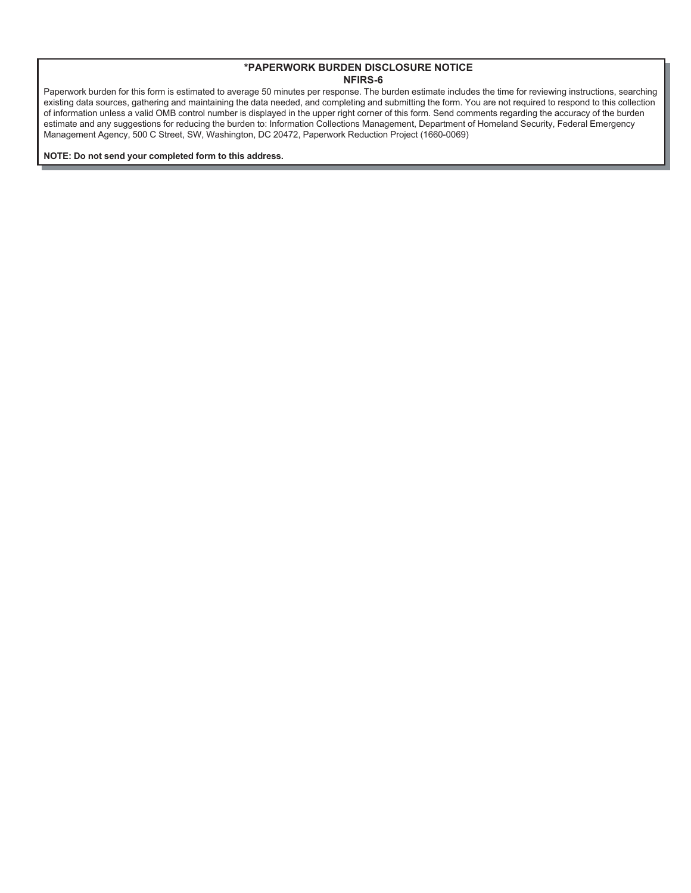Paperwork burden for this form is estimated to average 50 minutes per response. The burden estimate includes the time for reviewing instructions, searching existing data sources, gathering and maintaining the data needed, and completing and submitting the form. You are not required to respond to this collection of information unless a valid OMB control number is displayed in the upper right corner of this form. Send comments regarding the accuracy of the burden estimate and any suggestions for reducing the burden to: Information Collections Management, Department of Homeland Security, Federal Emergency Management Agency, 500 C Street, SW, Washington, DC 20472, Paperwork Reduction Project (1660-0069)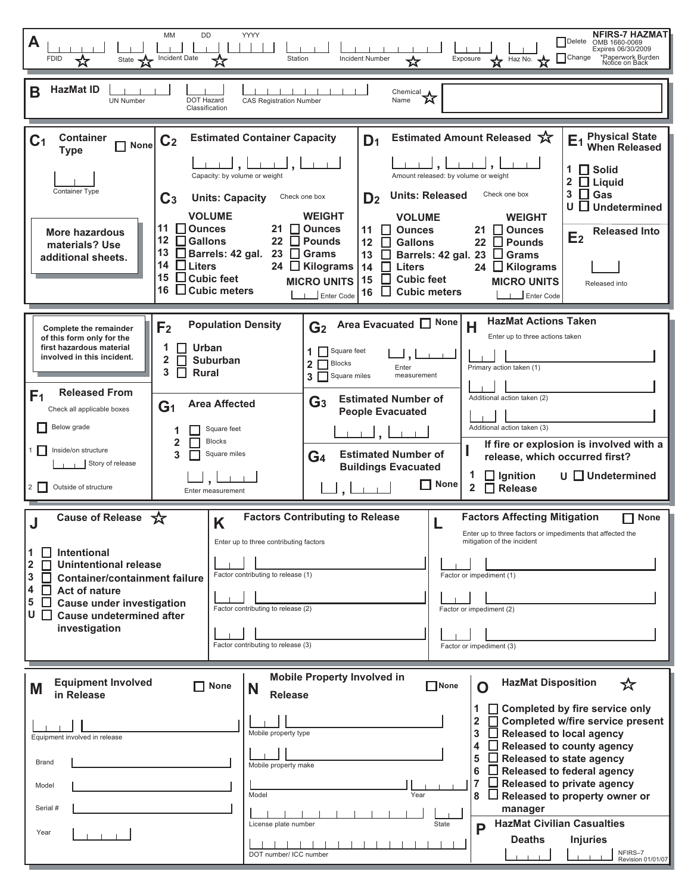| MM<br>DD<br><b>YYYY</b><br>A<br>Incident Date<br>Station<br><b>Incident Number</b><br><b>FDID</b><br>State<br>☆                                                                                                                                                                                                                                                                                                                                                                                                                                                                                                                                                                                                                                                                                                                                                                                                 | <b>NFIRS-7 HAZMAT</b><br><b>TDelete</b><br>OMB 1660-0069<br>Expires 06/30/2009<br>Exposure X Haz No. X Change<br>*Paperwork Burden<br>Notice on Back                                                                                                                                                                                                                                                                                                                                                               |
|-----------------------------------------------------------------------------------------------------------------------------------------------------------------------------------------------------------------------------------------------------------------------------------------------------------------------------------------------------------------------------------------------------------------------------------------------------------------------------------------------------------------------------------------------------------------------------------------------------------------------------------------------------------------------------------------------------------------------------------------------------------------------------------------------------------------------------------------------------------------------------------------------------------------|--------------------------------------------------------------------------------------------------------------------------------------------------------------------------------------------------------------------------------------------------------------------------------------------------------------------------------------------------------------------------------------------------------------------------------------------------------------------------------------------------------------------|
| <b>HazMat ID</b><br>B<br>.<br>$\begin{picture}(20,10) \put(0,0){\line(1,0){10}} \put(15,0){\line(1,0){10}} \put(15,0){\line(1,0){10}} \put(15,0){\line(1,0){10}} \put(15,0){\line(1,0){10}} \put(15,0){\line(1,0){10}} \put(15,0){\line(1,0){10}} \put(15,0){\line(1,0){10}} \put(15,0){\line(1,0){10}} \put(15,0){\line(1,0){10}} \put(15,0){\line(1,0){10}} \put(15,0){\line(1$<br>DOT Hazard<br><b>CAS Registration Number</b><br><b>UN Number</b><br>Classification                                                                                                                                                                                                                                                                                                                                                                                                                                         |                                                                                                                                                                                                                                                                                                                                                                                                                                                                                                                    |
| <b>Estimated Container Capacity</b><br><b>Container</b><br>D <sub>1</sub><br>C <sub>1</sub><br>C <sub>2</sub><br><b>None</b><br><b>Type</b><br>للبيا,لبي<br>Capacity: by volume or weight<br>Container Type<br><b>Units: Released</b><br>$\mathbf{C}_3$<br><b>Units: Capacity</b><br>Check one box<br>D <sub>2</sub><br><b>VOLUME</b><br><b>WEIGHT</b><br><b>VOLUME</b><br>11<br>$\Box$ Ounces<br>21 □ Ounces<br>$\Box$ Ounces<br>11<br><b>More hazardous</b><br>12 □ Gallons<br>22 $\Box$ Pounds<br><b>Gallons</b><br>12<br>П<br>materials? Use<br>13 <b>Barrels: 42 gal.</b><br>23 $\Box$ Grams<br>Barrels: 42 gal. 23<br>13<br>$\mathbf{I}$<br>additional sheets.<br>14<br>$\Box$ Liters<br>24 ■ Kilograms<br>14<br>П<br><b>Liters</b><br>15<br>$\Box$ Cubic feet<br>a k<br><b>Cubic feet</b><br>15<br><b>MICRO UNITS</b><br>16<br>$\Box$ Cubic meters<br><b>Cubic meters</b><br>$\perp$<br>16<br>Enter Code | <b>Physical State<br/>When Released</b><br>Estimated Amount Released 文<br>E <sub>1</sub><br>1 $\Box$ Solid<br>Amount released: by volume or weight<br>$2 \Box$ Liquid<br>$3 \Box$ Gas<br>Check one box<br>$U$ $\Box$ Undetermined<br><b>WEIGHT</b><br>$\Box$ Ounces<br>21<br><b>Released Into</b><br>E <sub>2</sub><br>22<br>H<br><b>Pounds</b><br>$\Box$ Grams<br>24<br>$\Box$ Kilograms<br><b>MICRO UNITS</b><br>Released into<br>Enter Code                                                                     |
| Area Evacuated <sup>None</sup><br><b>Population Density</b><br>G <sub>2</sub><br>F <sub>2</sub><br><b>Complete the remainder</b><br>of this form only for the<br>$\prod$ Urban<br>first hazardous material<br>1 Square feet<br>involved in this incident.<br>2<br>Suburban<br>$\mathbf{2}$<br><b>Blocks</b><br>Enter<br>3<br><b>Rural</b><br>3 Square miles<br>measurement<br><b>Released From</b><br>F <sub>1</sub><br><b>Estimated Number of</b><br>$\mathbf{G}_3$<br><b>Area Affected</b><br>G <sub>1</sub><br>Check all applicable boxes<br><b>People Evacuated</b><br>Below grade<br>Square feet<br><u>, Li i</u><br>$\overline{2}$<br><b>Blocks</b><br>Inside/on structure<br>$1$    <br><b>Estimated Number of</b><br>3<br>Square miles<br>G <sub>4</sub><br>Story of release<br><b>Buildings Evacuated</b><br>$\Box$ None<br>Outside of structure<br>$2 \mid \mid$<br>$\sqcup$ , l<br>Enter measurement | <b>HazMat Actions Taken</b><br>н<br>Enter up to three actions taken<br>Primary action taken (1)<br>Additional action taken (2)<br>Additional action taken (3)<br>If fire or explosion is involved with a<br>release, which occurred first?<br>U Undetermined<br>$\Box$ Ignition<br>$\Box$ Release<br>$\mathbf{2}$                                                                                                                                                                                                  |
| <b>Cause of Release</b><br>☆<br><b>Factors Contributing to Release</b><br>K<br>Enter up to three contributing factors<br><b>Intentional</b><br>1<br>. .<br><b>Unintentional release</b><br>2<br>Factor contributing to release (1)<br>3<br><b>Container/containment failure</b><br>Act of nature<br>4<br>5<br><b>Cause under investigation</b><br>Factor contributing to release (2)<br>U<br>$\Box$<br><b>Cause undetermined after</b><br>investigation<br>Factor contributing to release (3)                                                                                                                                                                                                                                                                                                                                                                                                                   | <b>Factors Affecting Mitigation</b><br>$\Box$ None<br>Enter up to three factors or impediments that affected the<br>mitigation of the incident<br>Factor or impediment (1)<br>Factor or impediment (2)<br>Factor or impediment (3)                                                                                                                                                                                                                                                                                 |
| <b>Mobile Property Involved in</b><br><b>Equipment Involved</b><br>$\Box$ None<br>None<br>N<br>M<br><b>Release</b><br>in Release<br>Mobile property type<br>Equipment involved in release<br>Brand<br>Mobile property make<br>Model<br>Model<br>Year<br>Serial #<br>License plate number<br>State<br>Year<br>DOT number/ ICC number                                                                                                                                                                                                                                                                                                                                                                                                                                                                                                                                                                             | <b>HazMat Disposition</b><br>☆<br>$\Box$ Completed by fire service only<br>1<br>$\mathbf 2$<br><b>Completed w/fire service present</b><br>3<br><b>Released to local agency</b><br>4<br>$\Box$ Released to county agency<br>5<br>$\Box$ Released to state agency<br>6<br><b>Released to federal agency</b><br>7<br>Released to private agency<br>$\Box$ Released to property owner or<br>8<br>manager<br><b>HazMat Civilian Casualties</b><br>P<br><b>Deaths</b><br><b>Injuries</b><br>NFIRS-7<br>Revision 01/01/07 |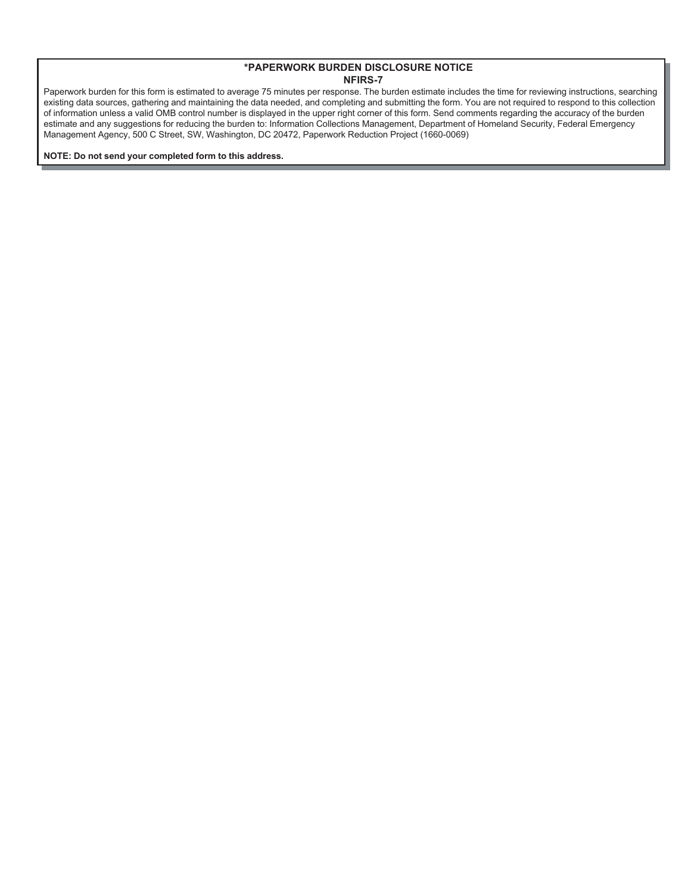Paperwork burden for this form is estimated to average 75 minutes per response. The burden estimate includes the time for reviewing instructions, searching existing data sources, gathering and maintaining the data needed, and completing and submitting the form. You are not required to respond to this collection of information unless a valid OMB control number is displayed in the upper right corner of this form. Send comments regarding the accuracy of the burden estimate and any suggestions for reducing the burden to: Information Collections Management, Department of Homeland Security, Federal Emergency Management Agency, 500 C Street, SW, Washington, DC 20472, Paperwork Reduction Project (1660-0069)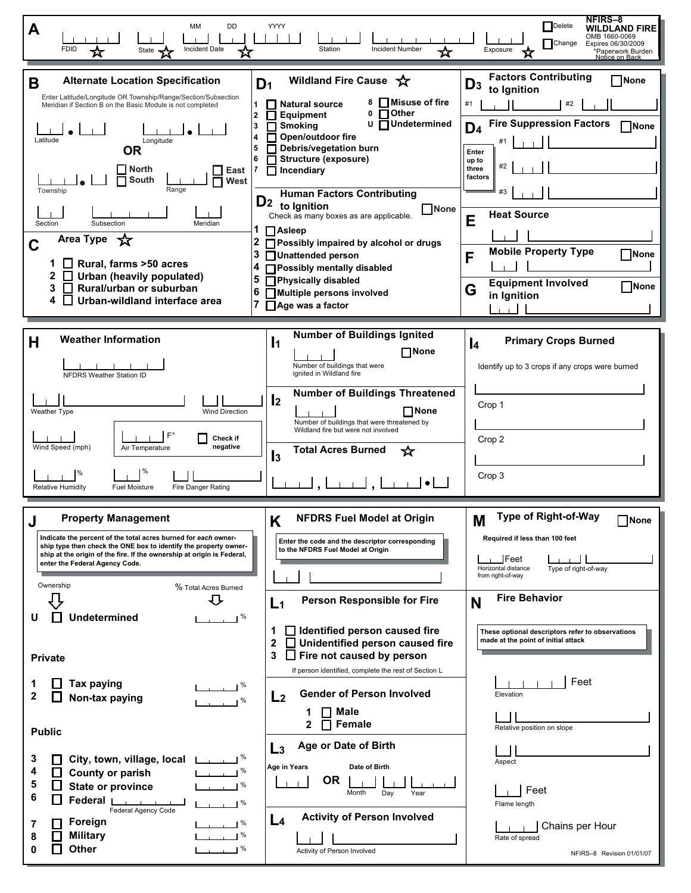| мм<br>DD<br>A<br><b>FDID</b><br><b>Incident Date</b><br>State                                                                                                                                                                                                                                                                                                                                                                                                                                                                                                                                                                                                                                                        | YYYY<br>Station<br><b>Incident Number</b><br>☆                                                                                                                                                                                                                                                                                                                                                                                                                                                                                                                                                                                                                               | <b>NFIRS-8</b><br>Delete<br>WILDLAND FIRE<br>OMB 1660-0069<br>Change<br>Expires 06/30/2009<br>Exposure<br>*Paperwork Burden<br>Notice on Back                                                                                                                                                                                                                                                                                                |
|----------------------------------------------------------------------------------------------------------------------------------------------------------------------------------------------------------------------------------------------------------------------------------------------------------------------------------------------------------------------------------------------------------------------------------------------------------------------------------------------------------------------------------------------------------------------------------------------------------------------------------------------------------------------------------------------------------------------|------------------------------------------------------------------------------------------------------------------------------------------------------------------------------------------------------------------------------------------------------------------------------------------------------------------------------------------------------------------------------------------------------------------------------------------------------------------------------------------------------------------------------------------------------------------------------------------------------------------------------------------------------------------------------|----------------------------------------------------------------------------------------------------------------------------------------------------------------------------------------------------------------------------------------------------------------------------------------------------------------------------------------------------------------------------------------------------------------------------------------------|
| <b>Alternate Location Specification</b><br>В<br>Enter Latitude/Longitude OR Township/Range/Section/Subsection<br>$\mathbf{1}$<br>Meridian if Section B on the Basic Module is not completed<br>$\mathbf{2}$<br>3<br>Longitude<br>Latitude<br>5<br><b>OR</b><br>6<br><b>North</b><br>East<br>South<br>West<br>Range<br>Township<br>Subsection<br>Section<br>Meridian<br>1<br>Area Type $\sqrt{\chi}$<br>2<br>С<br>3<br>$\Box$ Rural, farms >50 acres<br>4<br>$\Box$ Urban (heavily populated)<br>5<br>$\Box$ Rural/urban or suburban<br>6<br>$\Box$ Urban-wildland interface area<br>7                                                                                                                                | Wildland Fire Cause<br>D <sub>1</sub><br><b>□Misuse of fire</b><br>8<br><b>Natural source</b><br>Other<br>0<br>П<br><b>Equipment</b><br>$\mathbf{r}$<br>U<br><b>TUndetermined</b><br><b>Smoking</b><br>Open/outdoor fire<br>Debris/vegetation burn<br>Structure (exposure)<br>$\blacksquare$ Incendiary<br><b>Human Factors Contributing</b><br>D <sub>2</sub> to Ignition<br>None<br>Check as many boxes as are applicable.<br>$\Box$ Asleep<br>$\Box$ Possibly impaired by alcohol or drugs<br>Unattended person<br>Possibly mentally disabled<br>Physically disabled<br>Multiple persons involved<br>Age was a factor                                                     | <b>Factors Contributing</b><br>None<br>$D_3$<br>to Ignition<br>#2<br>#1<br><b>Fire Suppression Factors</b><br>∏None<br>D <sub>4</sub><br>Enter<br>up to<br>#2<br>three<br>factors<br>#3<br><b>Heat Source</b><br>E<br><b>Mobile Property Type</b><br>None<br>F<br><b>Equipment Involved</b><br>None<br>G<br>in Ignition<br>$\mathbf{I}$                                                                                                      |
| <b>Weather Information</b><br>Н<br><b>NFDRS Weather Station ID</b><br><b>Wind Direction</b><br>Weather Type<br>$F^{\circ}$<br>Check if<br>Wind Speed (mph)<br>negative<br>Air Temperature<br>$\frac{9}{6}$<br>%<br><b>Relative Humidity</b><br><b>Fuel Moisture</b><br>Fire Danger Rating                                                                                                                                                                                                                                                                                                                                                                                                                            | <b>Number of Buildings Ignited</b><br>$\mathbf{I}$<br>$\Box$ None<br>Number of buildings that were<br>ignited in Wildland fire<br><b>Number of Buildings Threatened</b><br>$\mathbf{I}$<br>$\Box$ None<br>Number of buildings that were threatened by<br>Wildland fire but were not involved<br><b>Total Acres Burned</b><br>⊀ਟ<br>$\mathbf{I}$ <sub>3</sub>                                                                                                                                                                                                                                                                                                                 | <b>Primary Crops Burned</b><br>$\mathbf{I}$<br>Identify up to 3 crops if any crops were burned<br>Crop 1<br>Crop 2<br>Crop 3                                                                                                                                                                                                                                                                                                                 |
| <b>Property Management</b><br>J<br>Indicate the percent of the total acres burned for each owner-<br>ship type then check the ONE box to identify the property owner-<br>ship at the origin of the fire. If the ownership at origin is Federal,<br>enter the Federal Agency Code.<br>Ownership<br>% Total Acres Burned<br>む<br><b>Undetermined</b><br>$\%$<br>U<br><b>Private</b><br><b>Tax paying</b><br>1<br>$\mathbf{2}$<br>Non-tax paying<br><b>Public</b><br>3<br>City, town, village, local<br>4<br>$\Box$<br>County or parish<br>5<br><b>State or province</b><br>$\sim$ $\sim$ $\sim$ $\sim$<br>6<br>Federal I<br>Federal Agency Code<br>Foreign<br>7<br><b>Military</b><br>8<br>Other<br>$\frac{9}{6}$<br>0 | Κ<br><b>NFDRS Fuel Model at Origin</b><br>Enter the code and the descriptor corresponding<br>to the NFDRS Fuel Model at Origin<br><b>Person Responsible for Fire</b><br>L <sub>1</sub><br>dentified person caused fire<br>1<br>$\mathbf 2$<br>Unidentified person caused fire<br>$\Box$<br>3<br>$\Box$ Fire not caused by person<br>If person identified, complete the rest of Section L<br><b>Gender of Person Involved</b><br>L <sub>2</sub><br>Male<br>Female<br>2<br>Age or Date of Birth<br>L <sub>3</sub><br>Age in Years<br>Date of Birth<br><b>OR</b><br>Month<br>Day<br>Year<br><b>Activity of Person Involved</b><br>L <sub>4</sub><br>Activity of Person Involved | Type of Right-of-Way<br>M<br>None<br>Required if less than 100 feet<br>$\mathsf{\_}$ Feet<br>Horizontal distance<br>Type of right-of-way<br>from right-of-way<br><b>Fire Behavior</b><br>N<br>These optional descriptors refer to observations<br>made at the point of initial attack<br>Feet<br>Elevation<br>Relative position on slope<br>Aspect<br>Feet<br>Flame length<br>Chains per Hour<br>Rate of spread<br>NFIRS-8 Revision 01/01/07 |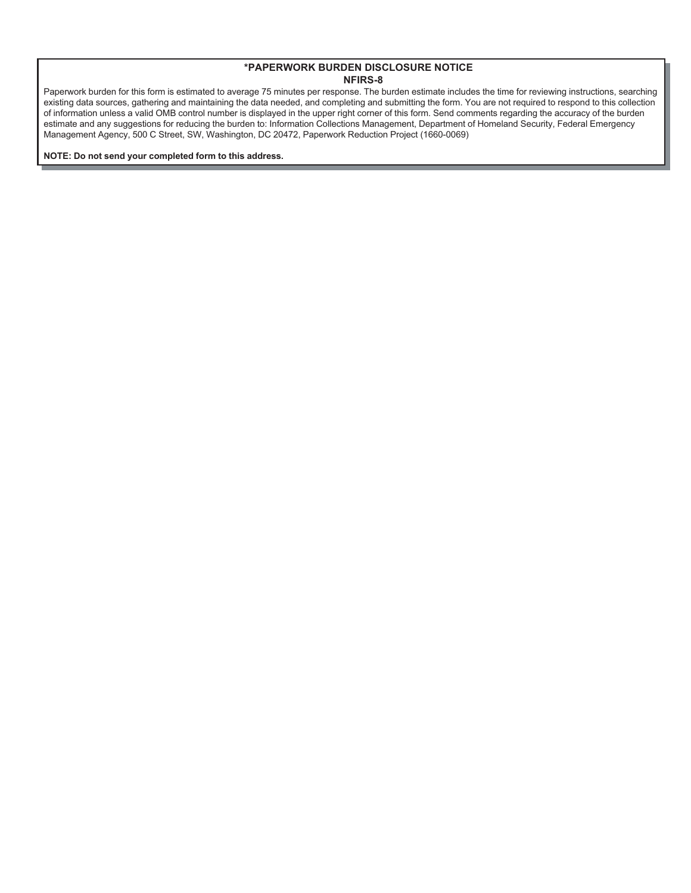Paperwork burden for this form is estimated to average 75 minutes per response. The burden estimate includes the time for reviewing instructions, searching existing data sources, gathering and maintaining the data needed, and completing and submitting the form. You are not required to respond to this collection of information unless a valid OMB control number is displayed in the upper right corner of this form. Send comments regarding the accuracy of the burden estimate and any suggestions for reducing the burden to: Information Collections Management, Department of Homeland Security, Federal Emergency Management Agency, 500 C Street, SW, Washington, DC 20472, Paperwork Reduction Project (1660-0069)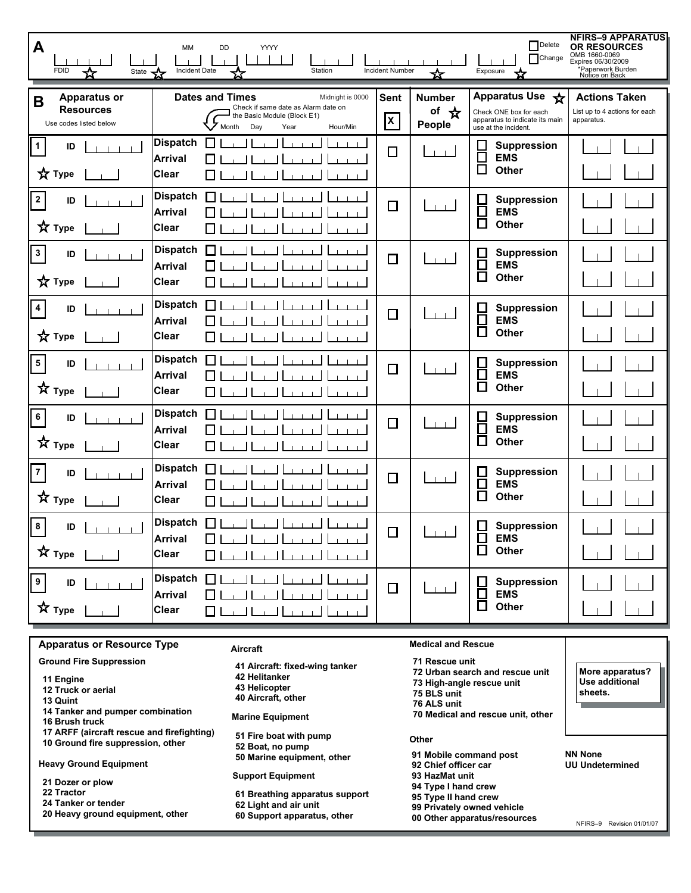| A<br><b>FDID</b><br>State X                                                                                                                                  | MM<br>DD<br>YYYY<br><b>Incident Date</b><br>Station                                                                                                  | <b>Incident Number</b> | ☆                               | <b>P</b> Delete<br>Change<br>Exposure<br>Х.                                                         | <b>NFIRS-9 APPARATUS</b><br><b>OR RESOURCES</b><br>OMB 1660-0069<br>Expires 06/30/2009<br>*Paperwork Burden<br>Notice on Back |
|--------------------------------------------------------------------------------------------------------------------------------------------------------------|------------------------------------------------------------------------------------------------------------------------------------------------------|------------------------|---------------------------------|-----------------------------------------------------------------------------------------------------|-------------------------------------------------------------------------------------------------------------------------------|
| <b>Apparatus or</b><br>B<br><b>Resources</b><br>Use codes listed below                                                                                       | <b>Dates and Times</b><br>Midnight is 0000<br>Check if same date as Alarm date on<br>the Basic Module (Block E1)<br>Month<br>Day<br>Hour/Min<br>Year | <b>Sent</b><br>X       | <b>Number</b><br>of ☆<br>People | Apparatus Use *<br>Check ONE box for each<br>apparatus to indicate its main<br>use at the incident. | <b>Actions Taken</b><br>List up to 4 actions for each<br>apparatus.                                                           |
| 1<br>ID<br>$\frac{1}{N}$ Type                                                                                                                                | <b>Dispatch</b><br>$\mathsf{L}$<br><b>Arrival</b><br><b>Clear</b><br>l 1                                                                             | $\Box$                 |                                 | Suppression<br>┠<br><b>EMS</b><br>$\Box$<br>Other                                                   |                                                                                                                               |
| $\mathbf{2}$<br>ID<br><b>☆</b> Type                                                                                                                          | <b>Dispatch</b><br>П<br><b>Arrival</b><br><b>Clear</b>                                                                                               | $\Box$                 |                                 | <b>Suppression</b><br>$\Box$<br>Ō<br><b>EMS</b><br>$\Box$<br>Other                                  |                                                                                                                               |
| $\mathbf{3}$<br>ID<br><b>☆</b> Type                                                                                                                          | <b>Dispatch</b><br>П<br><b>Arrival</b><br><b>Clear</b>                                                                                               | $\Box$                 |                                 | <b>Suppression</b><br>$\mathsf{L}$<br>$\Box$<br><b>EMS</b><br>□<br><b>Other</b>                     |                                                                                                                               |
| 4<br>ID<br>☆ Type                                                                                                                                            | <b>Dispatch</b><br>П<br><b>Arrival</b><br><b>Clear</b>                                                                                               | □                      |                                 | <b>Suppression</b><br>⊟<br><b>EMS</b><br>$\Box$<br>Other                                            |                                                                                                                               |
| $\overline{\mathbf{5}}$<br>ID<br>$\hat{X}$ Type                                                                                                              | <b>Dispatch</b><br>П<br><b>Arrival</b><br><b>Clear</b><br>$\blacksquare$                                                                             | $\Box$                 |                                 | <b>Suppression</b><br>$\Box$<br>$\Box$<br><b>EMS</b><br>$\Box$<br>Other                             |                                                                                                                               |
| 6<br>ID<br>☆<br><b>Type</b>                                                                                                                                  | <b>Dispatch</b><br>П<br><b>Arrival</b><br><b>Clear</b><br>l I                                                                                        | $\Box$                 | $\blacksquare$                  | $\Box$<br><b>Suppression</b><br>$\Box$<br><b>EMS</b><br>$\Box$<br>Other                             |                                                                                                                               |
| 7<br>ID<br>文<br><b>Type</b>                                                                                                                                  | <b>Dispatch</b><br>I I<br><b>Arrival</b><br><b>Clear</b>                                                                                             | $\Box$                 | $1 - 1$                         | $\mathsf{L}$<br><b>Suppression</b><br>$\Box$<br><b>EMS</b><br>$\overline{\phantom{a}}$<br>Other     |                                                                                                                               |
| 8<br>ID<br>$\star$ Type $\boxed{\phantom{a}\phantom{a}}$                                                                                                     | <b>Dispatch</b><br>I I<br><b>Arrival</b><br>لتتبينا لتتبياليت<br><b>Clear</b><br>لسيبنا لتتبينا ليبنا ليند<br>◘ ।                                    | П                      |                                 | <b>Suppression</b><br>$\Box$<br>ᄇ<br>EMS<br>Other                                                   |                                                                                                                               |
| 9 <sub>o</sub><br>$\overline{D}$ $\overline{I}$ $\overline{I}$ $\overline{I}$ $\overline{I}$ $\overline{I}$<br>$\star$ Type $\boxed{\phantom{a}\phantom{a}}$ | Dispatch 1<br>لتستبا لتنبينا ليبنا ليب<br>عبيبا ليبيد<br><b>Arrival</b><br>$\Box$<br>لتنبينا ليبينا ليبنا لتنبيا<br><b>Clear</b>                     | $\Box$                 | $\Box$                          | Suppression<br>H<br>$\Box$<br><b>EMS</b><br>$\Box$<br>Other                                         |                                                                                                                               |

## **Apparatus or Resource Type**

|  | <b>Ground Fire Suppression</b> |
|--|--------------------------------|
|--|--------------------------------|

- **11 Engine**
- **12 Truck or aerial**
- **13 Quint**
- **14 Tanker and pumper combination**
- **16 Brush truck**
- **17 ARFF (aircraft rescue and firefighting) 10 Ground fire suppression, other**

**Heavy Ground Equipment**

- **21 Dozer or plow**
- **22 Tractor**
- **24 Tanker or tender**
- **20 Heavy ground equipment, other**

**Aircraft**

- **41 Aircraft: fixed-wing tanker 42 Helitanker 43 Helicopter**
- **40 Aircraft, other**

**Marine Equipment**

- **51 Fire boat with pump**
- **52 Boat, no pump 50 Marine equipment, other**

#### **Support Equipment**

- **61 Breathing apparatus support**
- **62 Light and air unit**
- **60 Support apparatus, other**

**Medical and Rescue**

# **71 Rescue unit**

**72 Urban search and rescue unit 73 High-angle rescue unit**

- **75 BLS unit**
- **76 ALS unit**
	- **70 Medical and rescue unit, other**

#### **Other**

- **91 Mobile command post**
- **92 Chief officer car**
- **93 HazMat unit**
- **94 Type I hand crew**
- **95 Type II hand crew**
- **99 Privately owned vehicle**
- **00 Other apparatus/resources**

**More apparatus? Use additional sheets.**

#### **NN None UU Undetermined**

NFIRS–9 Revision 01/01/07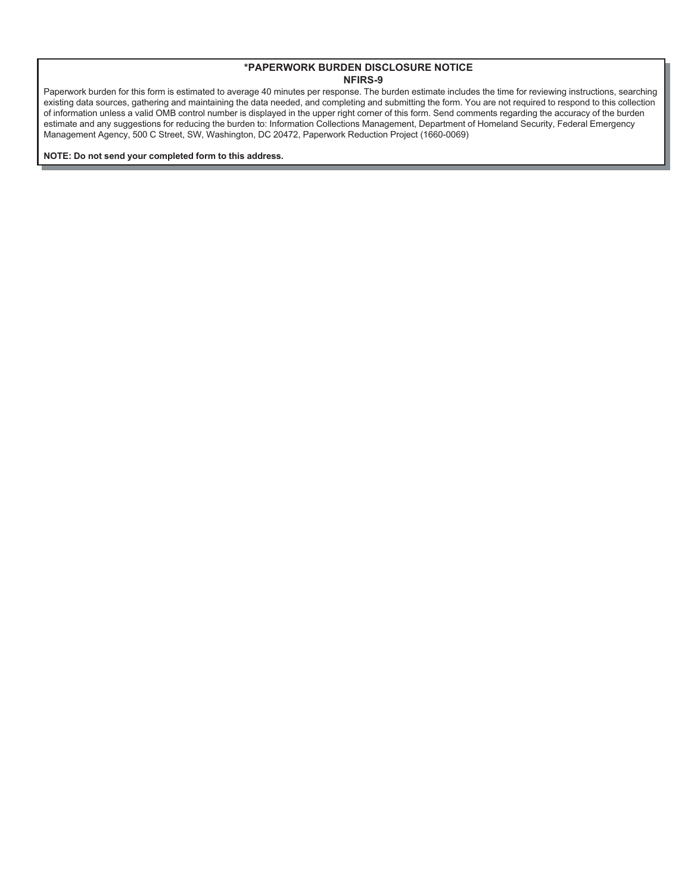Paperwork burden for this form is estimated to average 40 minutes per response. The burden estimate includes the time for reviewing instructions, searching existing data sources, gathering and maintaining the data needed, and completing and submitting the form. You are not required to respond to this collection of information unless a valid OMB control number is displayed in the upper right corner of this form. Send comments regarding the accuracy of the burden estimate and any suggestions for reducing the burden to: Information Collections Management, Department of Homeland Security, Federal Emergency Management Agency, 500 C Street, SW, Washington, DC 20472, Paperwork Reduction Project (1660-0069)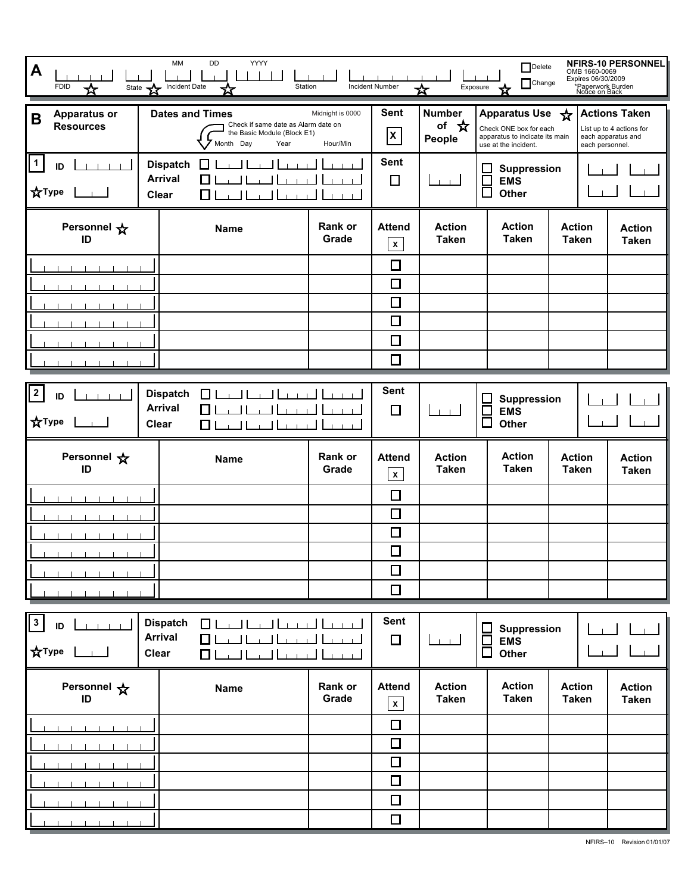| A<br><b>FDID</b><br>State<br>☆                             | YYYY<br>MM<br>DD<br>Incident Date<br>Station                                                                      |                              | Incident Number                            | Exposure<br>☆                   | $\Box$ Delete<br>$\Box$ Change                                                                           | OMB 1660-0069<br>Expires 06/30/2009<br>*Paperwork Burden<br>Notice on Back | NFIRS-10 PERSONNEL                                                     |
|------------------------------------------------------------|-------------------------------------------------------------------------------------------------------------------|------------------------------|--------------------------------------------|---------------------------------|----------------------------------------------------------------------------------------------------------|----------------------------------------------------------------------------|------------------------------------------------------------------------|
| <b>Apparatus or</b><br>B<br><b>Resources</b>               | <b>Dates and Times</b><br>Check if same date as Alarm date on<br>the Basic Module (Block E1)<br>Month Day<br>Year | Midnight is 0000<br>Hour/Min | <b>Sent</b><br>$\mathsf{x}$                | <b>Number</b><br>of ☆<br>People | <b>Apparatus Use</b><br>Check ONE box for each<br>apparatus to indicate its main<br>use at the incident. | ☆<br>each personnel.                                                       | <b>Actions Taken</b><br>List up to 4 actions for<br>each apparatus and |
| $\mathbf{1}$<br>ID<br>$1 - 1 - 1 - 1$<br><b>XType</b>      | <b>Dispatch</b><br>$\overline{\phantom{0}}$<br><b>Arrival</b><br><b>Clear</b><br>$\overline{\phantom{a}}$         |                              | <b>Sent</b><br>$\Box$<br>$\blacksquare$    |                                 | <b>Suppression</b><br><u>Н</u><br><b>EMS</b><br>$\Box$<br>Other                                          |                                                                            |                                                                        |
| Personnel *<br>ID                                          | <b>Name</b>                                                                                                       | Rank or<br>Grade             | <b>Attend</b><br>$\pmb{\mathsf{x}}$        | <b>Action</b><br><b>Taken</b>   | <b>Action</b><br><b>Taken</b>                                                                            | <b>Action</b><br><b>Taken</b>                                              | <b>Action</b><br><b>Taken</b>                                          |
|                                                            |                                                                                                                   |                              | $\Box$                                     |                                 |                                                                                                          |                                                                            |                                                                        |
|                                                            |                                                                                                                   |                              | $\Box$                                     |                                 |                                                                                                          |                                                                            |                                                                        |
|                                                            |                                                                                                                   |                              | $\Box$                                     |                                 |                                                                                                          |                                                                            |                                                                        |
|                                                            |                                                                                                                   |                              | $\Box$<br>$\overline{\phantom{a}}$         |                                 |                                                                                                          |                                                                            |                                                                        |
|                                                            |                                                                                                                   |                              | $\Box$                                     |                                 |                                                                                                          |                                                                            |                                                                        |
|                                                            |                                                                                                                   |                              |                                            |                                 |                                                                                                          |                                                                            |                                                                        |
| $\mathbf{2}$<br>ID<br>$-1$ $-1$ $-1$<br><b>XType</b>       | <b>Dispatch</b><br>Γı<br><b>Arrival</b><br><b>Clear</b><br>$\Box$                                                 |                              | <b>Sent</b><br>$\Box$                      | $1 - 1$                         | <b>Suppression</b><br>$\Box$<br><b>EMS</b><br>$\Box$<br>Other                                            |                                                                            |                                                                        |
| Personnel $\mathbf{\hat{x}}$<br>ID                         | <b>Name</b>                                                                                                       | Rank or<br>Grade             | <b>Attend</b><br>$\boldsymbol{\mathsf{x}}$ | <b>Action</b><br><b>Taken</b>   | <b>Action</b><br><b>Taken</b>                                                                            | <b>Action</b><br><b>Taken</b>                                              | <b>Action</b><br><b>Taken</b>                                          |
|                                                            |                                                                                                                   |                              | $\Box$                                     |                                 |                                                                                                          |                                                                            |                                                                        |
|                                                            |                                                                                                                   |                              | $\Box$                                     |                                 |                                                                                                          |                                                                            |                                                                        |
|                                                            |                                                                                                                   |                              | $\Box$                                     |                                 |                                                                                                          |                                                                            |                                                                        |
|                                                            |                                                                                                                   |                              | $\Box$                                     |                                 |                                                                                                          |                                                                            |                                                                        |
|                                                            |                                                                                                                   |                              | $\Box$                                     |                                 |                                                                                                          |                                                                            |                                                                        |
|                                                            |                                                                                                                   |                              | $\Box$                                     |                                 |                                                                                                          |                                                                            |                                                                        |
| $\mathbf{3}$<br>ID<br>1 1 1 1 1 1<br><b>XType</b><br>- 130 | <b>Dispatch</b><br><b>Quantification</b><br><b>Arrival</b><br>a Haard<br>П<br><b>Clear</b><br>$\square$ لىنغالىغا | 1.1.1                        | <b>Sent</b><br>$\Box$                      | لىسا                            | Suppression<br>▣<br>$\overline{\Box}$<br><b>EMS</b><br>Other                                             |                                                                            |                                                                        |
| Personnel $\mathbf{\hat{x}}$<br>ID                         | <b>Name</b>                                                                                                       | Rank or<br>Grade             | <b>Attend</b><br>$\pmb{\mathsf{x}}$        | <b>Action</b><br><b>Taken</b>   | <b>Action</b><br><b>Taken</b>                                                                            | <b>Action</b><br><b>Taken</b>                                              | <b>Action</b><br><b>Taken</b>                                          |
|                                                            |                                                                                                                   |                              | $\Box$                                     |                                 |                                                                                                          |                                                                            |                                                                        |
|                                                            |                                                                                                                   |                              | $\Box$                                     |                                 |                                                                                                          |                                                                            |                                                                        |
|                                                            |                                                                                                                   |                              | $\Box$                                     |                                 |                                                                                                          |                                                                            |                                                                        |
|                                                            |                                                                                                                   |                              | $\Box$                                     |                                 |                                                                                                          |                                                                            |                                                                        |
|                                                            |                                                                                                                   |                              | $\Box$                                     |                                 |                                                                                                          |                                                                            |                                                                        |
|                                                            |                                                                                                                   |                              | $\Box$                                     |                                 |                                                                                                          |                                                                            |                                                                        |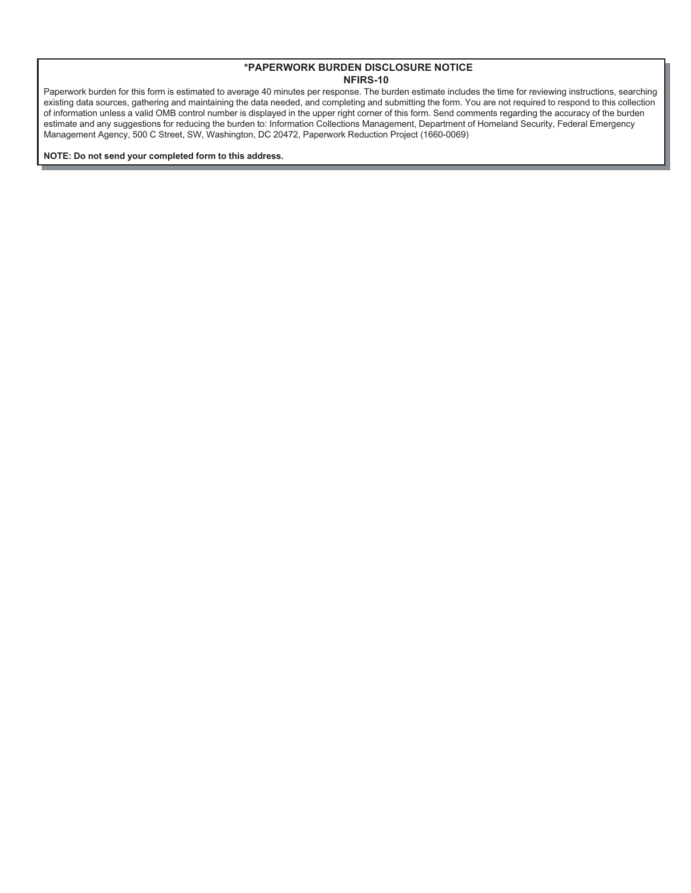Paperwork burden for this form is estimated to average 40 minutes per response. The burden estimate includes the time for reviewing instructions, searching existing data sources, gathering and maintaining the data needed, and completing and submitting the form. You are not required to respond to this collection of information unless a valid OMB control number is displayed in the upper right corner of this form. Send comments regarding the accuracy of the burden estimate and any suggestions for reducing the burden to: Information Collections Management, Department of Homeland Security, Federal Emergency Management Agency, 500 C Street, SW, Washington, DC 20472, Paperwork Reduction Project (1660-0069)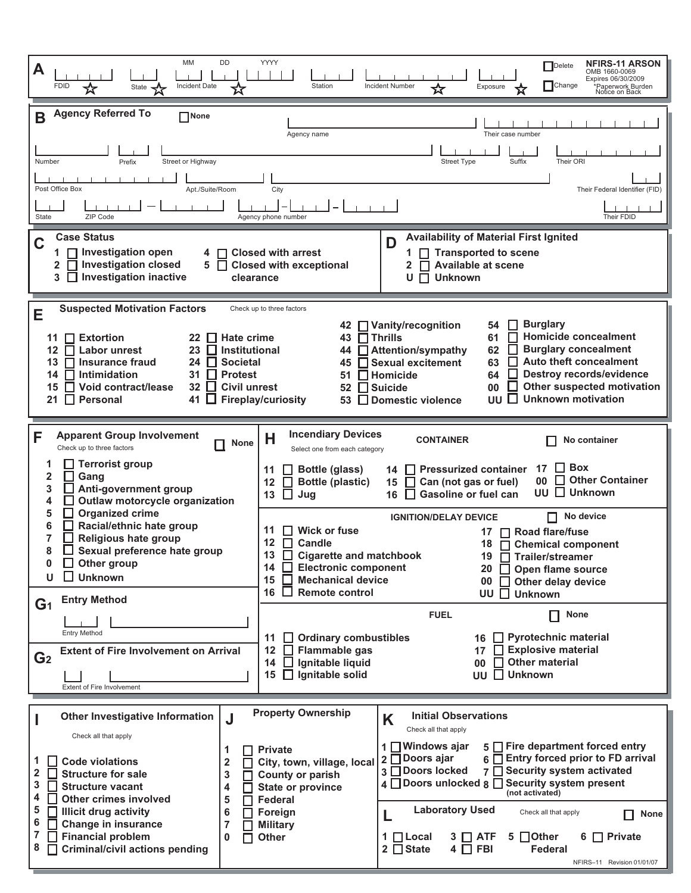| MM<br>DD<br>A<br><b>FDID</b><br><b>Incident Date</b><br>State                                                                                                                                                                                                                                                                                                                                                                                                                                                                                         | YYYY<br><b>NFIRS-11 ARSON</b><br>Delete<br>OMB 1660-0069<br>Expires 06/30/2009<br><b>Change</b><br>Station<br><b>Incident Number</b><br>Exposure<br>Paperwork Burden<br>☆<br>Notice on Back                                                                                                                                                                                                                                                                                                                                                                                                                                                                                                                                                                                                                                                                                                                                                                                                                                                                                                                                                                 |  |  |  |  |  |  |
|-------------------------------------------------------------------------------------------------------------------------------------------------------------------------------------------------------------------------------------------------------------------------------------------------------------------------------------------------------------------------------------------------------------------------------------------------------------------------------------------------------------------------------------------------------|-------------------------------------------------------------------------------------------------------------------------------------------------------------------------------------------------------------------------------------------------------------------------------------------------------------------------------------------------------------------------------------------------------------------------------------------------------------------------------------------------------------------------------------------------------------------------------------------------------------------------------------------------------------------------------------------------------------------------------------------------------------------------------------------------------------------------------------------------------------------------------------------------------------------------------------------------------------------------------------------------------------------------------------------------------------------------------------------------------------------------------------------------------------|--|--|--|--|--|--|
| <b>Agency Referred To</b><br>B<br>$\Box$ None<br>Street or Highway<br>Number<br>Prefix<br>Post Office Box<br>Apt./Suite/Room<br>ZIP Code<br><b>State</b>                                                                                                                                                                                                                                                                                                                                                                                              | Their case number<br>Agency name<br>Suffix<br>Their ORI<br><b>Street Type</b><br>City<br>Their Federal Identifier (FID)<br>Their FDID<br>Agency phone number                                                                                                                                                                                                                                                                                                                                                                                                                                                                                                                                                                                                                                                                                                                                                                                                                                                                                                                                                                                                |  |  |  |  |  |  |
| <b>Availability of Material First Ignited</b><br><b>Case Status</b><br>C<br>D<br>□ Investigation open<br><b>Closed with arrest</b><br>Transported to scene<br>4<br>□ Investigation closed<br>2<br>5<br><b>Closed with exceptional</b><br><b>Available at scene</b><br>l l<br>2.<br>3 □ Investigation inactive<br><b>Unknown</b><br>clearance<br>U<br>П                                                                                                                                                                                                |                                                                                                                                                                                                                                                                                                                                                                                                                                                                                                                                                                                                                                                                                                                                                                                                                                                                                                                                                                                                                                                                                                                                                             |  |  |  |  |  |  |
| <b>Suspected Motivation Factors</b><br>E<br>$\prod$ Extortion<br><b>Hate crime</b><br>11<br>22<br>I I<br>23<br>$\Box$ Institutional<br><b>Labor unrest</b><br>12<br>$\mathbf{I}$<br><b>Insurance fraud</b><br>$\Box$ Societal<br>24<br>13<br>Intimidation<br>$\prod$ Protest<br>31<br>14<br>Void contract/lease<br>32<br><b>Civil unrest</b><br>l I<br>15<br><b>Personal</b><br>41 ∐<br>21<br>l I                                                                                                                                                     | Check up to three factors<br><b>Burglary</b><br>□ Vanity/recognition<br>54<br>42<br><b>Homicide concealment</b><br>43 □ Thrills<br>61<br><b>Burglary concealment</b><br>44 Attention/sympathy<br>62<br><b>Auto theft concealment</b><br>Sexual excitement<br>63<br>45<br><b>Destroy records/evidence</b><br>51 $\Box$ Homicide<br>64<br><b>Other suspected motivation</b><br>$\Box$ Suicide<br>00<br>52<br><b>Unknown motivation</b><br>l 1<br><b>Fireplay/curiosity</b><br>UU<br>$\Box$ Domestic violence<br>53                                                                                                                                                                                                                                                                                                                                                                                                                                                                                                                                                                                                                                            |  |  |  |  |  |  |
| <b>Apparent Group Involvement</b><br>F<br><b>None</b><br>Check up to three factors<br>$\Box$ Terrorist group<br>2<br>Gang<br>Anti-government group<br>3<br>Outlaw motorcycle organization<br>I I<br>4<br><b>Organized crime</b><br>5<br>Racial/ethnic hate group<br>6<br>Religious hate group<br>8<br>Sexual preference hate group<br>$\Box$ Other group<br>0<br>$\Box$ Unknown<br>U.<br><b>Entry Method</b><br>G <sub>1</sub><br><b>Entry Method</b><br><b>Extent of Fire Involvement on Arrival</b><br>G <sub>2</sub><br>Extent of Fire Involvement | <b>Incendiary Devices</b><br>Н<br><b>CONTAINER</b><br>No container<br>Select one from each category<br><b>Box</b><br>17<br><b>Pressurized container</b><br>Bottle (glass)<br>11<br>14<br><b>Other Container</b><br>П<br>00<br>12<br><b>Bottle (plastic)</b><br>15<br>$\Box$ Can (not gas or fuel)<br>П.<br><b>Unknown</b><br><b>UU</b><br><b>Gasoline or fuel can</b><br>13<br>Jug<br>16<br>No device<br><b>IGNITION/DELAY DEVICE</b><br><b>Wick or fuse</b><br>11<br>Road flare/fuse<br>$12 \overline{ }$<br>Candle<br>18<br><b>Chemical component</b><br>П<br>13 Cigarette and matchbook<br>19<br>Trailer/streamer<br>14<br><b>Electronic component</b><br>$\mathbf{I}$<br>Open flame source<br>20<br>15 <sub>1</sub><br><b>Mechanical device</b><br>$\Box$ Other delay device<br>00<br>16 $\Box$<br><b>Remote control</b><br><b>UU</b> □ Unknown<br><b>FUEL</b><br><b>None</b><br>П<br>16 $\Box$ Pyrotechnic material<br>$\Box$ Ordinary combustibles<br>11<br>Explosive material<br>12<br>$\Box$ Flammable gas<br>17<br><b>Other material</b><br>14 $\Box$ Ignitable liquid<br>00 <sup>1</sup><br>$\Box$<br><b>UU</b> □ Unknown<br>15   Ignitable solid |  |  |  |  |  |  |
| <b>Other Investigative Information</b><br>J<br>Check all that apply<br>1<br>1<br><b>Code violations</b><br>2<br>2<br><b>Structure for sale</b><br>3<br>П<br>3<br><b>Structure vacant</b><br>4<br>4<br><b>Other crimes involved</b><br>5<br>5<br><b>Illicit drug activity</b><br>6<br>6<br><b>Change in insurance</b><br>7<br>7<br><b>Financial problem</b><br>0<br>П<br>8<br><b>Criminal/civil actions pending</b>                                                                                                                                    | <b>Property Ownership</b><br><b>Initial Observations</b><br>K<br>Check all that apply<br>5 Fire department forced entry<br>$1 \square$ Windows ajar<br><b>Private</b><br>2 □ Doors ajar<br>6 □ Entry forced prior to FD arrival<br>City, town, village, local<br>3 □ Doors locked<br>7 Security system activated<br><b>County or parish</b><br>4 Doors unlocked 8 Security system present<br><b>State or province</b><br>(not activated)<br>Federal<br><b>Laboratory Used</b><br>Foreign<br>Check all that apply<br>None<br><b>Military</b><br>$1$ $\Box$ Local<br>5 □ Other<br>6 $\Box$ Private<br>Other<br>$3 \Box$ ATF<br>$2 \Box$ State<br>$4 \Box$ FBI<br><b>Federal</b><br>NFIRS-11 Revision 01/01/07                                                                                                                                                                                                                                                                                                                                                                                                                                                 |  |  |  |  |  |  |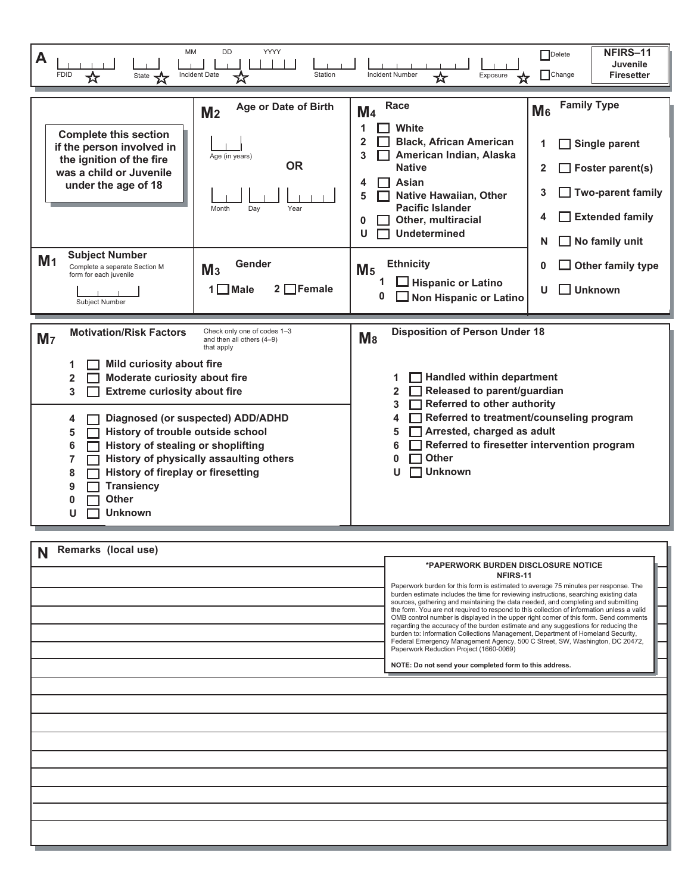| <b>YYYY</b><br>MM<br><b>DD</b><br>A<br><b>FDID</b><br>Incident Date<br>Station<br>State 2<br>☆                                                                                                                                                                                                                                                                                                                                               | NFIRS-11<br>Delete<br><b>Juvenile</b><br>$\Box$ Change<br><b>Incident Number</b><br><b>Firesetter</b><br>Exposure<br>☆                                                                                                                                                                                                                                                                                                                                                                                                                                                   |  |  |  |  |  |
|----------------------------------------------------------------------------------------------------------------------------------------------------------------------------------------------------------------------------------------------------------------------------------------------------------------------------------------------------------------------------------------------------------------------------------------------|--------------------------------------------------------------------------------------------------------------------------------------------------------------------------------------------------------------------------------------------------------------------------------------------------------------------------------------------------------------------------------------------------------------------------------------------------------------------------------------------------------------------------------------------------------------------------|--|--|--|--|--|
| <b>Age or Date of Birth</b><br>M <sub>2</sub><br><b>Complete this section</b><br>if the person involved in<br>Age (in years)<br>the ignition of the fire<br><b>OR</b><br>was a child or Juvenile<br>under the age of 18<br>Month<br>Dav<br>Year<br><b>Subject Number</b><br>M <sub>1</sub><br>Gender<br>Complete a separate Section M<br>M <sub>3</sub><br>form for each juvenile                                                            | <b>Family Type</b><br>Race<br>M <sub>6</sub><br>M <sub>4</sub><br>1<br>White<br>$\overline{2}$<br><b>Black, African American</b><br>Single parent<br>1<br>3<br>American Indian, Alaska<br><b>Native</b><br>$\Box$ Foster parent(s)<br>2<br>Asian<br>4<br>$\Box$ Two-parent family<br>3<br><b>Native Hawaiian, Other</b><br>5<br><b>Pacific Islander</b><br><b>Extended family</b><br>4<br>Other, multiracial<br>0<br><b>Undetermined</b><br>U<br>$\Box$ No family unit<br>N<br><b>Ethnicity</b><br>Other family type<br>0<br>M <sub>5</sub><br>$\Box$ Hispanic or Latino |  |  |  |  |  |
| $2 \nightharpoonup$ Female<br>$1 \square$ Male<br><b>Subject Number</b><br><b>Motivation/Risk Factors</b><br>Check only one of codes 1-3<br>M <sub>7</sub><br>and then all others (4-9)<br>that apply                                                                                                                                                                                                                                        | $\Box$ Unknown<br>U<br>0<br><b>Non Hispanic or Latino</b><br>ப<br><b>Disposition of Person Under 18</b><br>$M_8$                                                                                                                                                                                                                                                                                                                                                                                                                                                         |  |  |  |  |  |
| Mild curiosity about fire<br>Moderate curiosity about fire<br>$\overline{2}$<br>3<br><b>Extreme curiosity about fire</b><br>Diagnosed (or suspected) ADD/ADHD<br>4<br>History of trouble outside school<br>5<br>History of stealing or shoplifting<br>6<br>History of physically assaulting others<br>$\overline{7}$<br><b>History of fireplay or firesetting</b><br>8<br><b>Transiency</b><br>9<br><b>Other</b><br>0<br><b>Unknown</b><br>U | Handled within department<br>1<br>Released to parent/guardian<br>$\overline{2}$<br><b>Referred to other authority</b><br>3<br>Referred to treatment/counseling program<br>4<br>Arrested, charged as adult<br>5<br>Referred to firesetter intervention program<br>6<br><b>Other</b><br>0<br><b>Unknown</b><br>п                                                                                                                                                                                                                                                           |  |  |  |  |  |
| Remarks (local use)<br>N                                                                                                                                                                                                                                                                                                                                                                                                                     | *PAPERWORK BURDEN DISCLOSURE NOTICE<br>NFIRS-11<br>Paperwork burden for this form is estimated to average 75 minutes per response. The<br>burden estimate includes the time for reviewing instructions, searching existing data                                                                                                                                                                                                                                                                                                                                          |  |  |  |  |  |

| *PAPERWORK BURDEN DISCLOSURE NOTICE<br>NFIRS-11<br>Paperwork burden for this form is estimated to average 75 minutes per response. The<br>burden estimate includes the time for reviewing instructions, searching existing data<br>sources, gathering and maintaining the data needed, and completing and submitting<br>the form. You are not required to respond to this collection of information unless a valid<br>OMB control number is displayed in the upper right corner of this form. Send comments<br>regarding the accuracy of the burden estimate and any suggestions for reducing the<br>burden to: Information Collections Management, Department of Homeland Security,<br>Federal Emergency Management Agency, 500 C Street, SW, Washington, DC 20472,<br>Paperwork Reduction Project (1660-0069)<br>NOTE: Do not send your completed form to this address. |
|---------------------------------------------------------------------------------------------------------------------------------------------------------------------------------------------------------------------------------------------------------------------------------------------------------------------------------------------------------------------------------------------------------------------------------------------------------------------------------------------------------------------------------------------------------------------------------------------------------------------------------------------------------------------------------------------------------------------------------------------------------------------------------------------------------------------------------------------------------------------------|
|                                                                                                                                                                                                                                                                                                                                                                                                                                                                                                                                                                                                                                                                                                                                                                                                                                                                           |
|                                                                                                                                                                                                                                                                                                                                                                                                                                                                                                                                                                                                                                                                                                                                                                                                                                                                           |
|                                                                                                                                                                                                                                                                                                                                                                                                                                                                                                                                                                                                                                                                                                                                                                                                                                                                           |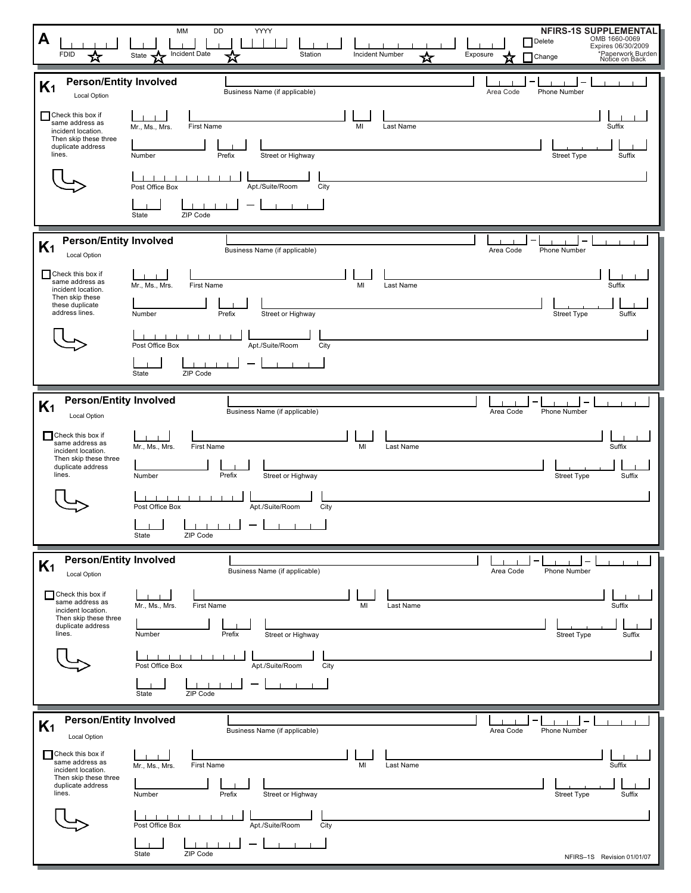| A<br><b>FDID</b>                                                                                                                   | MM<br>DD<br>YYYY<br>Incident Date<br>Station<br><b>Incident Number</b><br>State $\blacktriangleleft$                                                                           | <b>NFIRS-1S SUPPLEMENTAL</b><br>OMB 1660-0069<br>Delete<br>Expires 06/30/2009<br>*Paperwork Burden<br>Notice on Back<br>Exposure<br>Change |
|------------------------------------------------------------------------------------------------------------------------------------|--------------------------------------------------------------------------------------------------------------------------------------------------------------------------------|--------------------------------------------------------------------------------------------------------------------------------------------|
| <b>Person/Entity Involved</b><br>K <sub>1</sub><br><b>Local Option</b>                                                             | Business Name (if applicable)                                                                                                                                                  | Phone Number<br>Area Code                                                                                                                  |
| Check this box if<br>same address as<br>incident location.<br>Then skip these three<br>duplicate address<br>lines.                 | First Name<br>MI<br>Mr., Ms., Mrs.<br>Street or Highway<br>Number<br>Prefix<br>Apt./Suite/Room<br>Post Office Box<br>City                                                      | Suffix<br>Last Name<br><b>Street Type</b><br>Suffix                                                                                        |
|                                                                                                                                    | ZIP Code<br>State                                                                                                                                                              |                                                                                                                                            |
| <b>Person/Entity Involved</b><br>K <sub>1</sub><br>Local Option                                                                    | Business Name (if applicable)                                                                                                                                                  | Phone Number<br>Area Code                                                                                                                  |
| Check this box if<br>same address as<br>incident location.<br>Then skip these<br>these duplicate<br>address lines.                 | <b>First Name</b><br>MI<br>Mr., Ms., Mrs.<br>Street or Highway<br>Number<br>Prefix                                                                                             | Suffix<br>Last Name<br><b>Street Type</b><br>Suffix                                                                                        |
|                                                                                                                                    | Apt./Suite/Room<br>Post Office Box<br>City<br>State<br>ZIP Code                                                                                                                |                                                                                                                                            |
| <b>Person/Entity Involved</b><br>K <sub>1</sub>                                                                                    | Business Name (if applicable)                                                                                                                                                  | Area Code<br>Phone Number                                                                                                                  |
| Local Option<br>Check this box if<br>same address as<br>incident location.<br>Then skip these three<br>duplicate address<br>lines. | First Name<br>Mr., Ms., Mrs.<br>MI<br>Street or Highway<br>Number<br>Prefix<br>Post Office Box<br>Apt./Suite/Room<br>City<br>1111111<br>$\mathbf{1}$ $\mathbf{1}$ $\mathbf{1}$ | Suffix<br>Last Name<br><b>Street Type</b><br>Suffix                                                                                        |
|                                                                                                                                    | State<br>ZIP Code                                                                                                                                                              |                                                                                                                                            |
| <b>Person/Entity Involved</b><br>K <sub>1</sub><br><b>Local Option</b>                                                             | Business Name (if applicable)                                                                                                                                                  | Area Code<br>Phone Number                                                                                                                  |
| Check this box if<br>same address as<br>incident location.<br>Then skip these three<br>duplicate address<br>lines.                 | First Name<br>MI<br>Mr., Ms., Mrs.<br>Prefix<br>Number<br>Street or Highway                                                                                                    | Suffix<br>Last Name<br>Suffix<br><b>Street Type</b>                                                                                        |
|                                                                                                                                    | Post Office Box<br>Apt./Suite/Room<br>City<br>ZIP Code<br>State                                                                                                                |                                                                                                                                            |
| <b>Person/Entity Involved</b><br>K <sub>1</sub>                                                                                    | Business Name (if applicable)                                                                                                                                                  | Area Code<br>Phone Number                                                                                                                  |
| Local Option<br>Check this box if<br>same address as<br>incident location.<br>Then skip these three<br>duplicate address<br>lines. | First Name<br>MI<br>Mr., Ms., Mrs.<br>Street or Highway<br>Prefix<br>Number                                                                                                    | Suffix<br>Last Name<br><b>Street Type</b><br>Suffix                                                                                        |
|                                                                                                                                    | Post Office Box<br>Apt./Suite/Room<br>City                                                                                                                                     |                                                                                                                                            |
|                                                                                                                                    | ZIP Code<br>State                                                                                                                                                              | NFIRS-1S Revision 01/01/07                                                                                                                 |